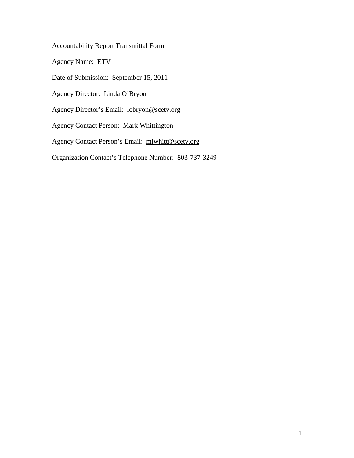# Accountability Report Transmittal Form

Agency Name: ETV

Date of Submission: September 15, 2011

Agency Director: Linda O'Bryon

Agency Director's Email: lobryon@scetv.org

Agency Contact Person: Mark Whittington

Agency Contact Person's Email: mjwhitt@scetv.org

Organization Contact's Telephone Number: 803-737-3249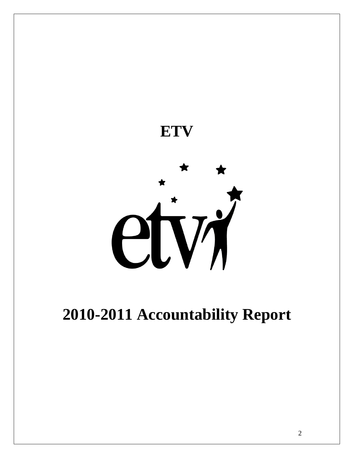

# **2010-2011 Accountability Report**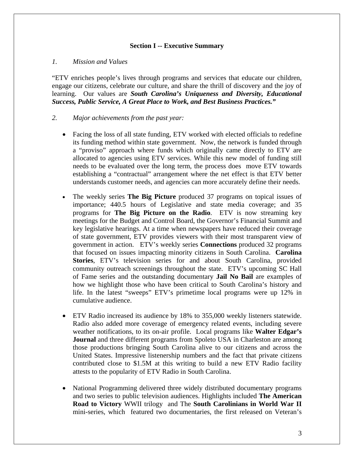#### **Section I -- Executive Summary**

#### *1. Mission and Values*

"ETV enriches people's lives through programs and services that educate our children, engage our citizens, celebrate our culture, and share the thrill of discovery and the joy of learning. Our values are *South Carolina's Uniqueness and Diversity, Educational Success, Public Service, A Great Place to Work, and Best Business Practices."*

#### *2. Major achievements from the past year:*

- Facing the loss of all state funding, ETV worked with elected officials to redefine its funding method within state government. Now, the network is funded through a "proviso" approach where funds which originally came directly to ETV are allocated to agencies using ETV services. While this new model of funding still needs to be evaluated over the long term, the process does move ETV towards establishing a "contractual" arrangement where the net effect is that ETV better understands customer needs, and agencies can more accurately define their needs.
- The weekly series **The Big Picture** produced 37 programs on topical issues of importance; 440.5 hours of Legislative and state media coverage; and 35 programs for **The Big Picture on the Radio**. ETV is now streaming key meetings for the Budget and Control Board, the Governor's Financial Summit and key legislative hearings. At a time when newspapers have reduced their coverage of state government, ETV provides viewers with their most transparent view of government in action. ETV's weekly series **Connections** produced 32 programs that focused on issues impacting minority citizens in South Carolina. **Carolina Stories**, ETV's television series for and about South Carolina, provided community outreach screenings throughout the state. ETV's upcoming SC Hall of Fame series and the outstanding documentary **Jail No Bail** are examples of how we highlight those who have been critical to South Carolina's history and life. In the latest "sweeps" ETV's primetime local programs were up 12% in cumulative audience.
- ETV Radio increased its audience by 18% to 355,000 weekly listeners statewide. Radio also added more coverage of emergency related events, including severe weather notifications, to its on-air profile. Local programs like **Walter Edgar's Journal** and three different programs from Spoleto USA in Charleston are among those productions bringing South Carolina alive to our citizens and across the United States. Impressive listenership numbers and the fact that private citizens contributed close to \$1.5M at this writing to build a new ETV Radio facility attests to the popularity of ETV Radio in South Carolina.
- National Programming delivered three widely distributed documentary programs and two series to public television audiences. Highlights included **The American Road to Victory** WWII trilogyand The **South Carolinians in World War II** mini-series, which featured two documentaries, the first released on Veteran's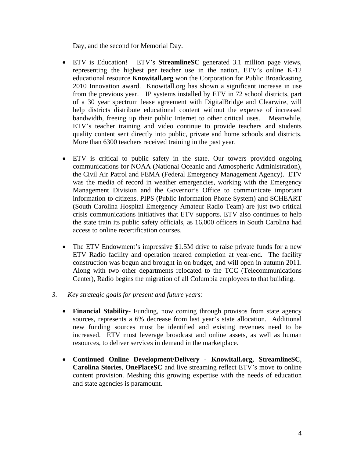Day, and the second for Memorial Day.

- ETV is Education! ETV's **StreamlineSC** generated 3.1 million page views, representing the highest per teacher use in the nation. ETV's online K-12 educational resource **Knowitall.org** won the Corporation for Public Broadcasting 2010 Innovation award. Knowitall.org has shown a significant increase in use from the previous year. IP systems installed by ETV in 72 school districts, part of a 30 year spectrum lease agreement with DigitalBridge and Clearwire, will help districts distribute educational content without the expense of increased bandwidth, freeing up their public Internet to other critical uses. Meanwhile, ETV's teacher training and video continue to provide teachers and students quality content sent directly into public, private and home schools and districts. More than 6300 teachers received training in the past year.
- ETV is critical to public safety in the state. Our towers provided ongoing communications for NOAA (National Oceanic and Atmospheric Administration), the Civil Air Patrol and FEMA (Federal Emergency Management Agency). ETV was the media of record in weather emergencies, working with the Emergency Management Division and the Governor's Office to communicate important information to citizens. PIPS (Public Information Phone System) and SCHEART (South Carolina Hospital Emergency Amateur Radio Team) are just two critical crisis communications initiatives that ETV supports. ETV also continues to help the state train its public safety officials, as 16,000 officers in South Carolina had access to online recertification courses.
- The ETV Endowment's impressive \$1.5M drive to raise private funds for a new ETV Radio facility and operation neared completion at year-end. The facility construction was begun and brought in on budget, and will open in autumn 2011. Along with two other departments relocated to the TCC (Telecommunications Center), Radio begins the migration of all Columbia employees to that building.

#### *3. Key strategic goals for present and future years:*

- **Financial Stability-** Funding, now coming through provisos from state agency sources, represents a 6% decrease from last year's state allocation. Additional new funding sources must be identified and existing revenues need to be increased. ETV must leverage broadcast and online assets, as well as human resources, to deliver services in demand in the marketplace.
- **Continued Online Development/Delivery Knowitall.org, StreamlineSC**, **Carolina Stories**, **OnePlaceSC** and live streaming reflect ETV's move to online content provision. Meshing this growing expertise with the needs of education and state agencies is paramount.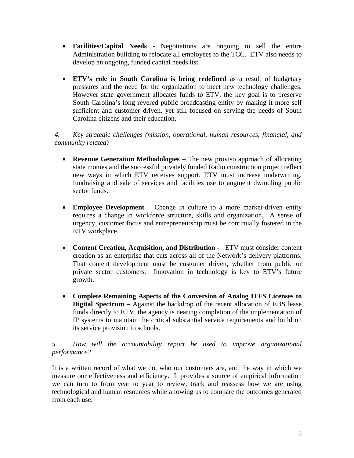- **Facilities/Capital Needs** Negotiations are ongoing to sell the entire Administration building to relocate all employees to the TCC. ETV also needs to develop an ongoing, funded capital needs list.
- **ETV's role in South Carolina is being redefined** as a result of budgetary pressures and the need for the organization to meet new technology challenges. However state government allocates funds to ETV, the key goal is to preserve South Carolina's long revered public broadcasting entity by making it more self sufficient and customer driven, yet still focused on serving the needs of South Carolina citizens and their education.

*4. Key strategic challenges (mission, operational, human resources, financial, and community related)* 

- **Revenue Generation Methodologies** The new proviso approach of allocating state monies and the successful privately funded Radio construction project reflect new ways in which ETV receives support. ETV must increase underwriting, fundraising and sale of services and facilities use to augment dwindling public sector funds.
- **Employee Development** Change in culture to a more market-driven entity requires a change in workforce structure, skills and organization. A sense of urgency, customer focus and entrepreneurship must be continually fostered in the ETV workplace.
- **Content Creation, Acquisition, and Distribution -** ETV must consider content creation as an enterprise that cuts across all of the Network's delivery platforms. That content development must be customer driven, whether from public or private sector customers. Innovation in technology is key to ETV's future growth.
- **Complete Remaining Aspects of the Conversion of Analog ITFS Licenses to Digital Spectrum –** Against the backdrop of the recent allocation of EBS lease funds directly to ETV, the agency is nearing completion of the implementation of IP systems to maintain the critical substantial service requirements and build on its service provision to schools.

*5. How will the accountability report be used to improve organizational performance?* 

It is a written record of what we do, who our customers are, and the way in which we measure our effectiveness and efficiency. It provides a source of empirical information we can turn to from year to year to review, track and reassess how we are using technological and human resources while allowing us to compare the outcomes generated from each use.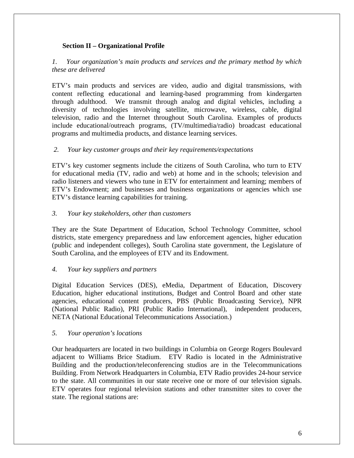## **Section II – Organizational Profile**

## *1. Your organization's main products and services and the primary method by which these are delivered*

ETV's main products and services are video, audio and digital transmissions, with content reflecting educational and learning-based programming from kindergarten through adulthood. We transmit through analog and digital vehicles, including a diversity of technologies involving satellite, microwave, wireless, cable, digital television, radio and the Internet throughout South Carolina. Examples of products include educational/outreach programs, (TV/multimedia/radio) broadcast educational programs and multimedia products, and distance learning services.

#### *2. Your key customer groups and their key requirements/expectations*

ETV's key customer segments include the citizens of South Carolina, who turn to ETV for educational media (TV, radio and web) at home and in the schools; television and radio listeners and viewers who tune in ETV for entertainment and learning; members of ETV's Endowment; and businesses and business organizations or agencies which use ETV's distance learning capabilities for training.

#### *3. Your key stakeholders, other than customers*

They are the State Department of Education, School Technology Committee, school districts, state emergency preparedness and law enforcement agencies, higher education (public and independent colleges), South Carolina state government, the Legislature of South Carolina, and the employees of ETV and its Endowment.

#### *4. Your key suppliers and partners*

Digital Education Services (DES), eMedia, Department of Education, Discovery Education, higher educational institutions, Budget and Control Board and other state agencies, educational content producers, PBS (Public Broadcasting Service), NPR (National Public Radio), PRI (Public Radio International), independent producers, NETA (National Educational Telecommunications Association.)

#### *5. Your operation's locations*

Our headquarters are located in two buildings in Columbia on George Rogers Boulevard adjacent to Williams Brice Stadium. ETV Radio is located in the Administrative Building and the production/teleconferencing studios are in the Telecommunications Building. From Network Headquarters in Columbia, ETV Radio provides 24-hour service to the state. All communities in our state receive one or more of our television signals. ETV operates four regional television stations and other transmitter sites to cover the state. The regional stations are: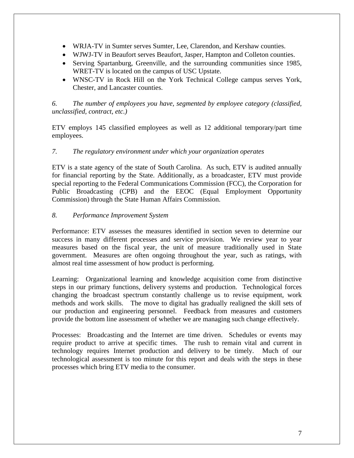- WRJA-TV in Sumter serves Sumter, Lee, Clarendon, and Kershaw counties.
- WJWJ-TV in Beaufort serves Beaufort, Jasper, Hampton and Colleton counties.
- Serving Spartanburg, Greenville, and the surrounding communities since 1985, WRET-TV is located on the campus of USC Upstate.
- WNSC-TV in Rock Hill on the York Technical College campus serves York, Chester, and Lancaster counties.

*6. The number of employees you have, segmented by employee category (classified, unclassified, contract, etc.)* 

ETV employs 145 classified employees as well as 12 additional temporary/part time employees.

## *7. The regulatory environment under which your organization operates*

ETV is a state agency of the state of South Carolina. As such, ETV is audited annually for financial reporting by the State. Additionally, as a broadcaster, ETV must provide special reporting to the Federal Communications Commission (FCC), the Corporation for Public Broadcasting (CPB) and the EEOC (Equal Employment Opportunity Commission) through the State Human Affairs Commission.

## *8. Performance Improvement System*

Performance: ETV assesses the measures identified in section seven to determine our success in many different processes and service provision. We review year to year measures based on the fiscal year, the unit of measure traditionally used in State government. Measures are often ongoing throughout the year, such as ratings, with almost real time assessment of how product is performing.

Learning: Organizational learning and knowledge acquisition come from distinctive steps in our primary functions, delivery systems and production. Technological forces changing the broadcast spectrum constantly challenge us to revise equipment, work methods and work skills. The move to digital has gradually realigned the skill sets of our production and engineering personnel. Feedback from measures and customers provide the bottom line assessment of whether we are managing such change effectively.

Processes: Broadcasting and the Internet are time driven. Schedules or events may require product to arrive at specific times. The rush to remain vital and current in technology requires Internet production and delivery to be timely. Much of our technological assessment is too minute for this report and deals with the steps in these processes which bring ETV media to the consumer.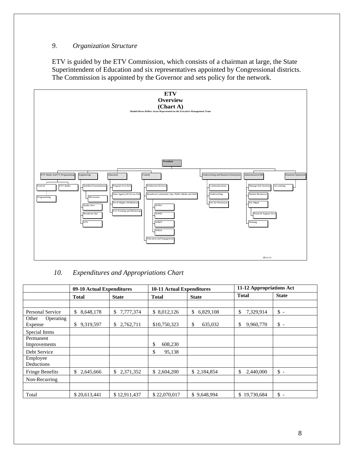## *9. Organization Structure*

ETV is guided by the ETV Commission, which consists of a chairman at large, the State Superintendent of Education and six representatives appointed by Congressional districts. The Commission is appointed by the Governor and sets policy for the network.



## *10. Expenditures and Appropriations Chart*

|                               | <b>10-11 Actual Expenditures</b><br>09-10 Actual Expenditures |                 |               | 11-12 Appropriations Act |                 |                |
|-------------------------------|---------------------------------------------------------------|-----------------|---------------|--------------------------|-----------------|----------------|
|                               | Total                                                         | <b>State</b>    | <b>Total</b>  | <b>State</b>             | <b>Total</b>    | <b>State</b>   |
|                               |                                                               |                 |               |                          |                 |                |
| Personal Service              | \$<br>8,648,178                                               | 7,777,374<br>\$ | \$ 8,012,126  | \$<br>6,829,108          | \$<br>7,329,914 | $\mathsf S$ -  |
| Other<br>Operating<br>Expense | \$<br>9,319,597                                               | 2,762,711<br>\$ | \$10,750,323  | \$<br>635,032            | \$<br>9,960,770 | $\mathbb{S}$ - |
| Special Items                 |                                                               |                 |               |                          |                 |                |
| Permanent<br>Improvements     |                                                               |                 | \$<br>608,230 |                          |                 |                |
| Debt Service                  |                                                               |                 | \$<br>95,138  |                          |                 |                |
| Employee<br>Deductions        |                                                               |                 |               |                          |                 |                |
| <b>Fringe Benefits</b>        | \$2,645,666                                                   | \$<br>2,371,352 | \$ 2,604,200  | \$2,184,854              | \$<br>2,440,000 | $\mathbb{S}$ - |
| Non-Recurring                 |                                                               |                 |               |                          |                 |                |
| Total                         | \$20,613,441                                                  | \$12,911,437    | \$22,070,017  | \$9,648,994              | \$19,730,684    | $\mathbb{S}$ - |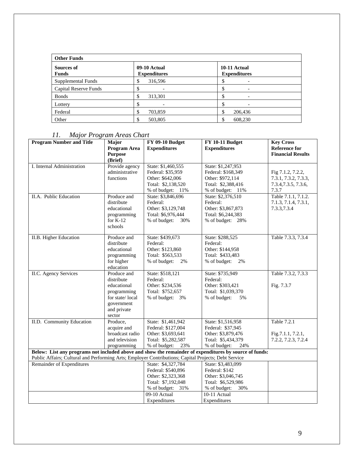| <b>Other Funds</b>         |                                     |                                     |  |  |  |  |
|----------------------------|-------------------------------------|-------------------------------------|--|--|--|--|
| Sources of<br><b>Funds</b> | 09-10 Actual<br><b>Expenditures</b> | 10-11 Actual<br><b>Expenditures</b> |  |  |  |  |
| Supplemental Funds         | 316,596<br>◡                        |                                     |  |  |  |  |
| Capital Reserve Funds      |                                     |                                     |  |  |  |  |
| <b>Bonds</b>               | Φ<br>313,301<br>D                   |                                     |  |  |  |  |
| Lottery                    |                                     |                                     |  |  |  |  |
| Federal                    | ╓<br>703,859<br>Φ                   | 206,436                             |  |  |  |  |
| Other                      | 503,805<br>╓                        | 608,230                             |  |  |  |  |

# *11. Major Program Areas Chart*

| <b>Program Number and Title</b>                                                                                                                                                                                | Major                          | <b>FY 09-10 Budget</b> | <b>FY 10-11 Budget</b> | <b>Key Cross</b>         |
|----------------------------------------------------------------------------------------------------------------------------------------------------------------------------------------------------------------|--------------------------------|------------------------|------------------------|--------------------------|
|                                                                                                                                                                                                                | Program Area                   | <b>Expenditures</b>    | <b>Expenditures</b>    | <b>Reference for</b>     |
|                                                                                                                                                                                                                | <b>Purpose</b>                 |                        |                        | <b>Financial Results</b> |
|                                                                                                                                                                                                                | (Brief)                        |                        |                        |                          |
| I. Internal Administration                                                                                                                                                                                     | Provide agency                 | State: \$1,460,555     | State: \$1,247,953     |                          |
|                                                                                                                                                                                                                | administrative                 | Federal: \$35,959      | Federal: \$168,349     | Fig 7.1.2, 7.2.2,        |
|                                                                                                                                                                                                                | functions                      | Other: \$642,006       | Other: \$972,114       | 7.3.1, 7.3.2, 7.3.3,     |
|                                                                                                                                                                                                                |                                | Total: \$2,138,520     | Total: \$2,388,416     | 7.3.4, 7.3.5, 7.3.6,     |
|                                                                                                                                                                                                                |                                | $%$ of budget: $11\%$  | % of budget: 11%       | 7.3.7                    |
| II.A. Public Education                                                                                                                                                                                         | Produce and                    | State: \$3,846,696     | State: \$2,376,510     | Table 7.1.1, 7.1.2.      |
|                                                                                                                                                                                                                | distribute                     | Federal:               | Federal:               | 7.1.3, 7.1.4, 7.3.1,     |
|                                                                                                                                                                                                                | educational                    | Other: \$3,129,748     | Other: \$3,867,873     | 7.3.3, 7.3.4             |
|                                                                                                                                                                                                                | programming                    | Total: \$6,976,444     | Total: \$6,244,383     |                          |
|                                                                                                                                                                                                                | for $K-12$                     | % of budget:<br>30%    | % of budget: 28%       |                          |
|                                                                                                                                                                                                                | schools                        |                        |                        |                          |
|                                                                                                                                                                                                                |                                |                        |                        |                          |
| II.B. Higher Education                                                                                                                                                                                         | Produce and                    | State: \$439,673       | State: \$288,525       | Table 7.3.3, 7.3.4       |
|                                                                                                                                                                                                                | distribute                     | Federal:               | Federal:               |                          |
|                                                                                                                                                                                                                | educational                    | Other: \$123,860       | Other: \$144,958       |                          |
|                                                                                                                                                                                                                | programming                    | Total: \$563,533       | Total: \$433,483       |                          |
|                                                                                                                                                                                                                | for higher                     | % of budget:<br>2%     | % of budget:<br>2%     |                          |
|                                                                                                                                                                                                                | education                      |                        |                        |                          |
| II.C. Agency Services                                                                                                                                                                                          | Produce and                    | State: \$518,121       | State: \$735,949       | Table 7.3.2, 7.3.3       |
|                                                                                                                                                                                                                | distribute                     | Federal:               | Federal:               |                          |
|                                                                                                                                                                                                                | educational                    | Other: \$234,536       | Other: \$303,421       | Fig. 7.3.7               |
|                                                                                                                                                                                                                | programming                    | Total: \$752,657       | Total: \$1,039,370     |                          |
|                                                                                                                                                                                                                | for state/local                | % of budget: 3%        | % of budget:<br>5%     |                          |
|                                                                                                                                                                                                                | government                     |                        |                        |                          |
|                                                                                                                                                                                                                | and private                    |                        |                        |                          |
|                                                                                                                                                                                                                | sector                         |                        |                        |                          |
| II.D. Community Education                                                                                                                                                                                      | Produce,                       | State: \$1,461,942     | State: \$1,516,958     | Table 7.2.1              |
|                                                                                                                                                                                                                | acquire and<br>broadcast radio | Federal: \$127,004     | Federal: \$37,945      |                          |
|                                                                                                                                                                                                                | and television                 | Other: \$3,693,641     | Other: \$3,879,476     | Fig.7.1.1, 7.2.1,        |
|                                                                                                                                                                                                                |                                | Total: \$5,282,587     | Total: \$5,434,379     | 7.2.2, 7.2.3, 7.2.4      |
|                                                                                                                                                                                                                | programming                    | 23%<br>% of budget:    | % of budget:<br>24%    |                          |
| Below: List any programs not included above and show the remainder of expenditures by source of funds:<br>Public Affairs; Cultural and Performing Arts; Employer Contributions; Capital Projects; Debt Service |                                |                        |                        |                          |
| Remainder of Expenditures                                                                                                                                                                                      |                                | State: \$4,327,784     | State: \$3,483,099     |                          |
|                                                                                                                                                                                                                |                                | Federal: \$540,896     | Federal: \$142         |                          |
|                                                                                                                                                                                                                |                                | Other: \$2,323,368     | Other: \$3,046,745     |                          |
|                                                                                                                                                                                                                |                                | Total: \$7,192,048     | Total: \$6,529,986     |                          |
|                                                                                                                                                                                                                |                                | % of budget: 31%       | 30%<br>% of budget:    |                          |
|                                                                                                                                                                                                                |                                | 09-10 Actual           | 10-11 Actual           |                          |
|                                                                                                                                                                                                                |                                | Expenditures           | Expenditures           |                          |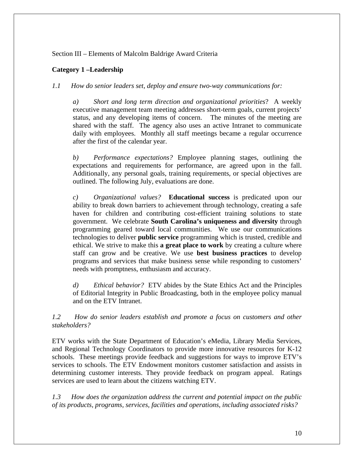## Section III – Elements of Malcolm Baldrige Award Criteria

## **Category 1 –Leadership**

*1.1 How do senior leaders set, deploy and ensure two-way communications for:* 

*a) Short and long term direction and organizational priorities*? A weekly executive management team meeting addresses short-term goals, current projects' status, and any developing items of concern. The minutes of the meeting are shared with the staff. The agency also uses an active Intranet to communicate daily with employees. Monthly all staff meetings became a regular occurrence after the first of the calendar year.

*b) Performance expectations?* Employee planning stages, outlining the expectations and requirements for performance, are agreed upon in the fall. Additionally, any personal goals, training requirements, or special objectives are outlined. The following July, evaluations are done.

*c) Organizational values?* **Educational success** is predicated upon our ability to break down barriers to achievement through technology, creating a safe haven for children and contributing cost-efficient training solutions to state government.We celebrate **South Carolina's uniqueness and diversity** through programming geared toward local communities. We use our communications technologies to deliver **public service** programming which is trusted, credible and ethical. We strive to make this **a great place to work** by creating a culture where staff can grow and be creative. We use **best business practices** to develop programs and services that make business sense while responding to customers' needs with promptness, enthusiasm and accuracy.

*d) Ethical behavior?* ETV abides by the State Ethics Act and the Principles of Editorial Integrity in Public Broadcasting, both in the employee policy manual and on the ETV Intranet.

*1.2 How do senior leaders establish and promote a focus on customers and other stakeholders?*

ETV works with the State Department of Education's eMedia, Library Media Services, and Regional Technology Coordinators to provide more innovative resources for K-12 schools. These meetings provide feedback and suggestions for ways to improve ETV's services to schools. The ETV Endowment monitors customer satisfaction and assists in determining customer interests. They provide feedback on program appeal. Ratings services are used to learn about the citizens watching ETV.

*1.3 How does the organization address the current and potential impact on the public of its products, programs, services, facilities and operations, including associated risks?*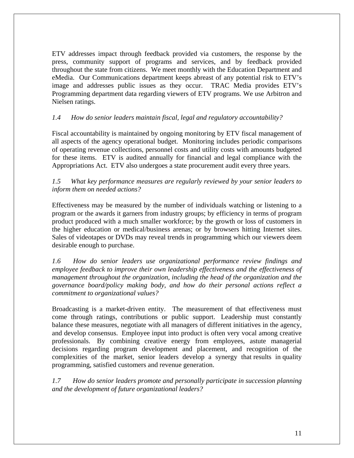ETV addresses impact through feedback provided via customers, the response by the press, community support of programs and services, and by feedback provided throughout the state from citizens. We meet monthly with the Education Department and eMedia. Our Communications department keeps abreast of any potential risk to ETV's image and addresses public issues as they occur. TRAC Media provides ETV's Programming department data regarding viewers of ETV programs. We use Arbitron and Nielsen ratings.

## *1.4 How do senior leaders maintain fiscal, legal and regulatory accountability?*

Fiscal accountability is maintained by ongoing monitoring by ETV fiscal management of all aspects of the agency operational budget. Monitoring includes periodic comparisons of operating revenue collections, personnel costs and utility costs with amounts budgeted for these items. ETV is audited annually for financial and legal compliance with the Appropriations Act. ETV also undergoes a state procurement audit every three years.

## *1.5 What key performance measures are regularly reviewed by your senior leaders to inform them on needed actions?*

Effectiveness may be measured by the number of individuals watching or listening to a program or the awards it garners from industry groups; by efficiency in terms of program product produced with a much smaller workforce; by the growth or loss of customers in the higher education or medical/business arenas; or by browsers hitting Internet sites. Sales of videotapes or DVDs may reveal trends in programming which our viewers deem desirable enough to purchase.

*1.6 How do senior leaders use organizational performance review findings and employee feedback to improve their own leadership effectiveness and the effectiveness of management throughout the organization, including the head of the organization and the governance board/policy making body, and how do their personal actions reflect a commitment to organizational values?*

Broadcasting is a market-driven entity. The measurement of that effectiveness must come through ratings, contributions or public support. Leadership must constantly balance these measures, negotiate with all managers of different initiatives in the agency, and develop consensus. Employee input into product is often very vocal among creative professionals. By combining creative energy from employees, astute managerial decisions regarding program development and placement, and recognition of the complexities of the market, senior leaders develop a synergy that results in quality programming, satisfied customers and revenue generation.

*1.7 How do senior leaders promote and personally participate in succession planning and the development of future organizational leaders?*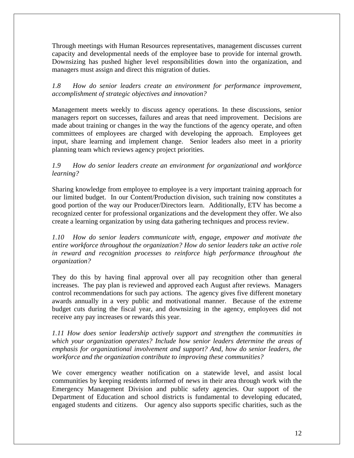Through meetings with Human Resources representatives, management discusses current capacity and developmental needs of the employee base to provide for internal growth. Downsizing has pushed higher level responsibilities down into the organization, and managers must assign and direct this migration of duties.

## *1.8 How do senior leaders create an environment for performance improvement, accomplishment of strategic objectives and innovation?*

Management meets weekly to discuss agency operations. In these discussions, senior managers report on successes, failures and areas that need improvement. Decisions are made about training or changes in the way the functions of the agency operate, and often committees of employees are charged with developing the approach. Employees get input, share learning and implement change. Senior leaders also meet in a priority planning team which reviews agency project priorities.

## *1.9 How do senior leaders create an environment for organizational and workforce learning?*

Sharing knowledge from employee to employee is a very important training approach for our limited budget. In our Content/Production division, such training now constitutes a good portion of the way our Producer/Directors learn. Additionally, ETV has become a recognized center for professional organizations and the development they offer. We also create a learning organization by using data gathering techniques and process review.

*1.10 How do senior leaders communicate with, engage, empower and motivate the entire workforce throughout the organization? How do senior leaders take an active role in reward and recognition processes to reinforce high performance throughout the organization?* 

They do this by having final approval over all pay recognition other than general increases. The pay plan is reviewed and approved each August after reviews. Managers control recommendations for such pay actions. The agency gives five different monetary awards annually in a very public and motivational manner. Because of the extreme budget cuts during the fiscal year, and downsizing in the agency, employees did not receive any pay increases or rewards this year.

*1.11 How does senior leadership actively support and strengthen the communities in which your organization operates? Include how senior leaders determine the areas of emphasis for organizational involvement and support? And, how do senior leaders, the workforce and the organization contribute to improving these communities?*

We cover emergency weather notification on a statewide level, and assist local communities by keeping residents informed of news in their area through work with the Emergency Management Division and public safety agencies. Our support of the Department of Education and school districts is fundamental to developing educated, engaged students and citizens. Our agency also supports specific charities, such as the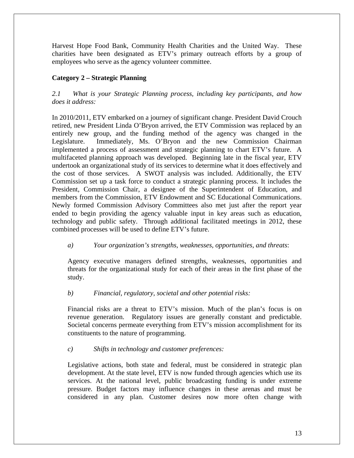Harvest Hope Food Bank, Community Health Charities and the United Way. These charities have been designated as ETV's primary outreach efforts by a group of employees who serve as the agency volunteer committee.

## **Category 2 – Strategic Planning**

## *2.1 What is your Strategic Planning process, including key participants, and how does it address:*

In 2010/2011, ETV embarked on a journey of significant change. President David Crouch retired, new President Linda O'Bryon arrived, the ETV Commission was replaced by an entirely new group, and the funding method of the agency was changed in the Legislature. Immediately, Ms. O'Bryon and the new Commission Chairman implemented a process of assessment and strategic planning to chart ETV's future. A multifaceted planning approach was developed. Beginning late in the fiscal year, ETV undertook an organizational study of its services to determine what it does effectively and the cost of those services. A SWOT analysis was included. Additionally, the ETV Commission set up a task force to conduct a strategic planning process. It includes the President, Commission Chair, a designee of the Superintendent of Education, and members from the Commission, ETV Endowment and SC Educational Communications. Newly formed Commission Advisory Committees also met just after the report year ended to begin providing the agency valuable input in key areas such as education, technology and public safety. Through additional facilitated meetings in 2012, these combined processes will be used to define ETV's future.

## *a) Your organization's strengths, weaknesses, opportunities, and threats*:

Agency executive managers defined strengths, weaknesses, opportunities and threats for the organizational study for each of their areas in the first phase of the study.

## *b) Financial, regulatory, societal and other potential risks:*

Financial risks are a threat to ETV's mission. Much of the plan's focus is on revenue generation. Regulatory issues are generally constant and predictable. Societal concerns permeate everything from ETV's mission accomplishment for its constituents to the nature of programming.

#### *c) Shifts in technology and customer preferences:*

Legislative actions, both state and federal, must be considered in strategic plan development. At the state level, ETV is now funded through agencies which use its services. At the national level, public broadcasting funding is under extreme pressure. Budget factors may influence changes in these arenas and must be considered in any plan. Customer desires now more often change with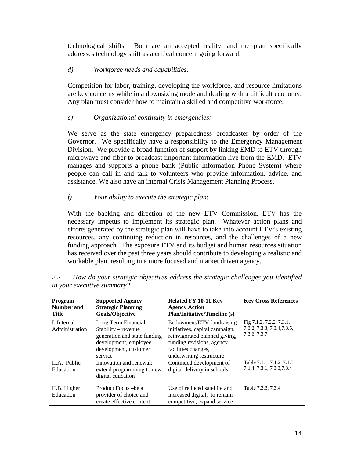technological shifts. Both are an accepted reality, and the plan specifically addresses technology shift as a critical concern going forward.

## *d) Workforce needs and capabilities:*

Competition for labor, training, developing the workforce, and resource limitations are key concerns while in a downsizing mode and dealing with a difficult economy. Any plan must consider how to maintain a skilled and competitive workforce.

## *e) Organizational continuity in emergencies:*

We serve as the state emergency preparedness broadcaster by order of the Governor. We specifically have a responsibility to the Emergency Management Division. We provide a broad function of support by linking EMD to ETV through microwave and fiber to broadcast important information live from the EMD. ETV manages and supports a phone bank (Public Information Phone System) where people can call in and talk to volunteers who provide information, advice, and assistance. We also have an internal Crisis Management Planning Process.

## *f) Your ability to execute the strategic plan*:

With the backing and direction of the new ETV Commission, ETV has the necessary impetus to implement its strategic plan. Whatever action plans and efforts generated by the strategic plan will have to take into account ETV's existing resources, any continuing reduction in resources, and the challenges of a new funding approach. The exposure ETV and its budget and human resources situation has received over the past three years should contribute to developing a realistic and workable plan, resulting in a more focused and market driven agency.

| Program<br><b>Number and</b><br><b>Title</b> | <b>Supported Agency</b><br><b>Strategic Planning</b><br><b>Goals/Objective</b>                                                            | Related FY 10-11 Key<br><b>Agency Action</b><br><b>Plan/Initiative/Timeline (s)</b>                                                                                          | <b>Key Cross References</b>                                             |
|----------------------------------------------|-------------------------------------------------------------------------------------------------------------------------------------------|------------------------------------------------------------------------------------------------------------------------------------------------------------------------------|-------------------------------------------------------------------------|
| I. Internal<br>Administration                | Long Term Financial<br>$Stability - revenue$<br>generation and state funding<br>development, employee<br>development, customer<br>service | Endowment/ETV fundraising<br>initiatives, capital campaign,<br>reinvigorated planned giving,<br>funding revisions, agency<br>facilities changes,<br>underwriting restructure | Fig 7.1.2, 7.2.2, 7.3.1,<br>7.3.2, 7.3.3, 7.3.4, 7.3.5,<br>7.3.6, 7.3.7 |
| II.A. Public<br>Education                    | Innovation and renewal;<br>extend programming to new<br>digital education                                                                 | Continued development of<br>digital delivery in schools                                                                                                                      | Table 7.1.1, 7.1.2, 7.1.3,<br>7.1.4, 7.3.1, 7.3.3, 7.3.4                |
| II.B. Higher<br>Education                    | Product Focus – be a<br>provider of choice and<br>create effective content                                                                | Use of reduced satellite and<br>increased digital; to remain<br>competitive, expand service                                                                                  | Table 7.3.3, 7.3.4                                                      |

*2.2 How do your strategic objectives address the strategic challenges you identified in your executive summary?*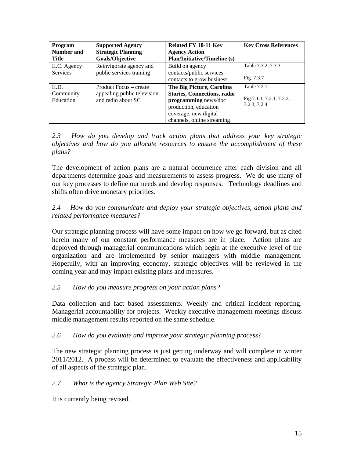| <b>Program</b><br>Number and<br><b>Title</b> | <b>Supported Agency</b><br><b>Strategic Planning</b><br>Goals/Objective     | <b>Related FY 10-11 Key</b><br><b>Agency Action</b><br><b>Plan/Initiative/Timeline (s)</b>                                                                              | <b>Key Cross References</b>                              |
|----------------------------------------------|-----------------------------------------------------------------------------|-------------------------------------------------------------------------------------------------------------------------------------------------------------------------|----------------------------------------------------------|
| II.C. Agency<br><b>Services</b>              | Reinvigorate agency and<br>public services training                         | Build on agency<br>contacts/public services<br>contacts to grow business                                                                                                | Table 7.3.2, 7.3.3<br>Fig. 7.3.7                         |
| II.D.<br>Community<br>Education              | Product Focus – create<br>appealing public television<br>and radio about SC | The Big Picture, Carolina<br><b>Stories, Connections, radio</b><br>programming news/doc<br>production, education<br>coverage, new digital<br>channels, online streaming | Table 7.2.1<br>Fig. 7.1.1, 7.2.1, 7.2.2,<br>7.2.3, 7.2.4 |

*2.3 How do you develop and track action plans that address your key strategic objectives and how do you allocate resources to ensure the accomplishment of these plans?* 

The development of action plans are a natural occurrence after each division and all departments determine goals and measurements to assess progress. We do use many of our key processes to define our needs and develop responses. Technology deadlines and shifts often drive monetary priorities.

## *2.4 How do you communicate and deploy your strategic objectives, action plans and related performance measures?*

Our strategic planning process will have some impact on how we go forward, but as cited herein many of our constant performance measures are in place. Action plans are deployed through managerial communications which begin at the executive level of the organization and are implemented by senior managers with middle management. Hopefully, with an improving economy, strategic objectives will be reviewed in the coming year and may impact existing plans and measures.

## *2.5 How do you measure progress on your action plans?*

Data collection and fact based assessments. Weekly and critical incident reporting. Managerial accountability for projects. Weekly executive management meetings discuss middle management results reported on the same schedule.

## *2.6 How do you evaluate and improve your strategic planning process?*

The new strategic planning process is just getting underway and will complete in winter 2011/2012. A process will be determined to evaluate the effectiveness and applicability of all aspects of the strategic plan.

#### *2.7 What is the agency Strategic Plan Web Site?*

It is currently being revised.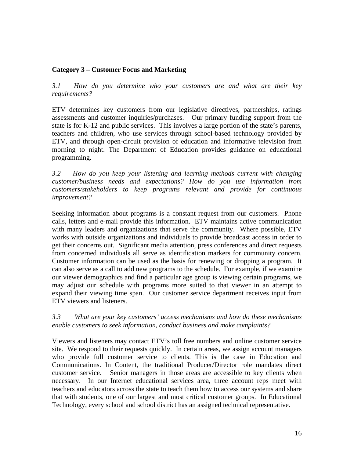## **Category 3 – Customer Focus and Marketing**

*3.1 How do you determine who your customers are and what are their key requirements?* 

ETV determines key customers from our legislative directives, partnerships, ratings assessments and customer inquiries/purchases. Our primary funding support from the state is for K-12 and public services. This involves a large portion of the state's parents, teachers and children, who use services through school-based technology provided by ETV, and through open-circuit provision of education and informative television from morning to night. The Department of Education provides guidance on educational programming.

*3.2 How do you keep your listening and learning methods current with changing customer/business needs and expectations? How do you use information from customers/stakeholders to keep programs relevant and provide for continuous improvement?* 

Seeking information about programs is a constant request from our customers. Phone calls, letters and e-mail provide this information. ETV maintains active communication with many leaders and organizations that serve the community. Where possible, ETV works with outside organizations and individuals to provide broadcast access in order to get their concerns out. Significant media attention, press conferences and direct requests from concerned individuals all serve as identification markers for community concern. Customer information can be used as the basis for renewing or dropping a program. It can also serve as a call to add new programs to the schedule. For example, if we examine our viewer demographics and find a particular age group is viewing certain programs, we may adjust our schedule with programs more suited to that viewer in an attempt to expand their viewing time span. Our customer service department receives input from ETV viewers and listeners.

*3.3 What are your key customers' access mechanisms and how do these mechanisms enable customers to seek information, conduct business and make complaints?* 

Viewers and listeners may contact ETV's toll free numbers and online customer service site. We respond to their requests quickly. In certain areas, we assign account managers who provide full customer service to clients. This is the case in Education and Communications. In Content, the traditional Producer/Director role mandates direct customer service. Senior managers in those areas are accessible to key clients when necessary. In our Internet educational services area, three account reps meet with teachers and educators across the state to teach them how to access our systems and share that with students, one of our largest and most critical customer groups. In Educational Technology, every school and school district has an assigned technical representative.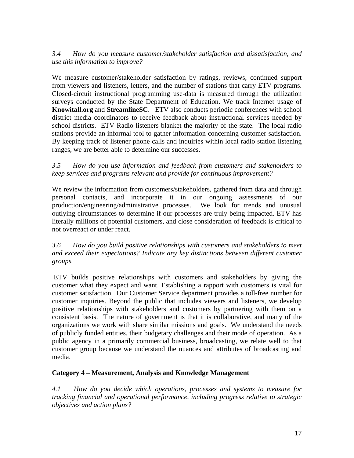## *3.4 How do you measure customer/stakeholder satisfaction and dissatisfaction, and use this information to improve?*

We measure customer/stakeholder satisfaction by ratings, reviews, continued support from viewers and listeners, letters, and the number of stations that carry ETV programs. Closed-circuit instructional programming use-data is measured through the utilization surveys conducted by the State Department of Education. We track Internet usage of **Knowitall.org** and **StreamlineSC**. ETV also conducts periodic conferences with school district media coordinators to receive feedback about instructional services needed by school districts. ETV Radio listeners blanket the majority of the state. The local radio stations provide an informal tool to gather information concerning customer satisfaction. By keeping track of listener phone calls and inquiries within local radio station listening ranges, we are better able to determine our successes.

*3.5 How do you use information and feedback from customers and stakeholders to keep services and programs relevant and provide for continuous improvement?* 

We review the information from customers/stakeholders, gathered from data and through personal contacts, and incorporate it in our ongoing assessments of our production/engineering/administrative processes. We look for trends and unusual outlying circumstances to determine if our processes are truly being impacted. ETV has literally millions of potential customers, and close consideration of feedback is critical to not overreact or under react.

## *3.6 How do you build positive relationships with customers and stakeholders to meet and exceed their expectations? Indicate any key distinctions between different customer groups.*

ETV builds positive relationships with customers and stakeholders by giving the customer what they expect and want. Establishing a rapport with customers is vital for customer satisfaction. Our Customer Service department provides a toll-free number for customer inquiries. Beyond the public that includes viewers and listeners, we develop positive relationships with stakeholders and customers by partnering with them on a consistent basis. The nature of government is that it is collaborative, and many of the organizations we work with share similar missions and goals. We understand the needs of publicly funded entities, their budgetary challenges and their mode of operation. As a public agency in a primarily commercial business, broadcasting, we relate well to that customer group because we understand the nuances and attributes of broadcasting and media.

#### **Category 4 – Measurement, Analysis and Knowledge Management**

*4.1 How do you decide which operations, processes and systems to measure for tracking financial and operational performance, including progress relative to strategic objectives and action plans?*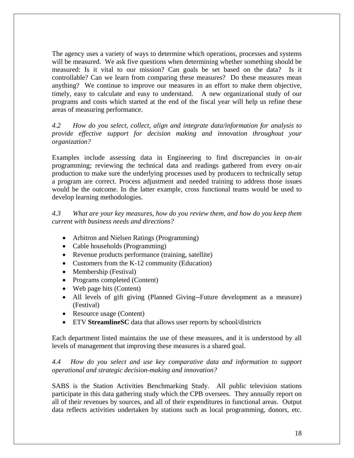The agency uses a variety of ways to determine which operations, processes and systems will be measured. We ask five questions when determining whether something should be measured: Is it vital to our mission? Can goals be set based on the data? Is it controllable? Can we learn from comparing these measures? Do these measures mean anything? We continue to improve our measures in an effort to make them objective, timely, easy to calculate and easy to understand. A new organizational study of our programs and costs which started at the end of the fiscal year will help us refine these areas of measuring performance.

*4.2 How do you select, collect, align and integrate data/information for analysis to provide effective support for decision making and innovation throughout your organization?* 

Examples include assessing data in Engineering to find discrepancies in on-air programming; reviewing the technical data and readings gathered from every on-air production to make sure the underlying processes used by producers to technically setup a program are correct. Process adjustment and needed training to address those issues would be the outcome. In the latter example, cross functional teams would be used to develop learning methodologies.

*4.3 What are your key measures, how do you review them, and how do you keep them current with business needs and directions?* 

- Arbitron and Nielsen Ratings (Programming)
- Cable households (Programming)
- Revenue products performance (training, satellite)
- Customers from the K-12 community (Education)
- Membership (Festival)
- Programs completed (Content)
- Web page hits (Content)
- All levels of gift giving (Planned Giving--Future development as a measure) (Festival)
- Resource usage (Content)
- ETV **StreamlineSC** data that allows user reports by school/districts

Each department listed maintains the use of these measures, and it is understood by all levels of management that improving these measures is a shared goal.

## *4.4 How do you select and use key comparative data and information to support operational and strategic decision-making and innovation?*

SABS is the Station Activities Benchmarking Study. All public television stations participate in this data gathering study which the CPB oversees. They annually report on all of their revenues by sources, and all of their expenditures in functional areas. Output data reflects activities undertaken by stations such as local programming, donors, etc.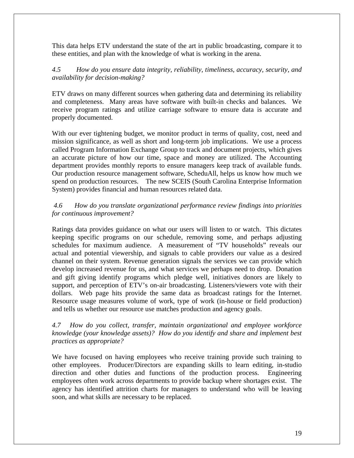This data helps ETV understand the state of the art in public broadcasting, compare it to these entities, and plan with the knowledge of what is working in the arena.

*4.5 How do you ensure data integrity, reliability, timeliness, accuracy, security, and availability for decision-making?*

ETV draws on many different sources when gathering data and determining its reliability and completeness. Many areas have software with built-in checks and balances. We receive program ratings and utilize carriage software to ensure data is accurate and properly documented.

With our ever tightening budget, we monitor product in terms of quality, cost, need and mission significance, as well as short and long-term job implications. We use a process called Program Information Exchange Group to track and document projects, which gives an accurate picture of how our time, space and money are utilized. The Accounting department provides monthly reports to ensure managers keep track of available funds. Our production resource management software, ScheduAll, helps us know how much we spend on production resources. The new SCEIS (South Carolina Enterprise Information System) provides financial and human resources related data.

*4.6 How do you translate organizational performance review findings into priorities for continuous improvement?* 

Ratings data provides guidance on what our users will listen to or watch. This dictates keeping specific programs on our schedule, removing some, and perhaps adjusting schedules for maximum audience. A measurement of "TV households" reveals our actual and potential viewership, and signals to cable providers our value as a desired channel on their system. Revenue generation signals the services we can provide which develop increased revenue for us, and what services we perhaps need to drop. Donation and gift giving identify programs which pledge well, initiatives donors are likely to support, and perception of ETV's on-air broadcasting. Listeners/viewers vote with their dollars. Web page hits provide the same data as broadcast ratings for the Internet. Resource usage measures volume of work, type of work (in-house or field production) and tells us whether our resource use matches production and agency goals.

## *4.7 How do you collect, transfer, maintain organizational and employee workforce knowledge (your knowledge assets)? How do you identify and share and implement best practices as appropriate?*

We have focused on having employees who receive training provide such training to other employees. Producer/Directors are expanding skills to learn editing, in-studio direction and other duties and functions of the production process. Engineering employees often work across departments to provide backup where shortages exist. The agency has identified attrition charts for managers to understand who will be leaving soon, and what skills are necessary to be replaced.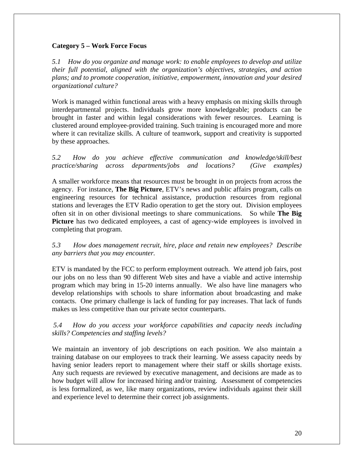## **Category 5 – Work Force Focus**

*5.1 How do you organize and manage work: to enable employees to develop and utilize their full potential, aligned with the organization's objectives, strategies, and action plans; and to promote cooperation, initiative, empowerment, innovation and your desired organizational culture?* 

Work is managed within functional areas with a heavy emphasis on mixing skills through interdepartmental projects. Individuals grow more knowledgeable; products can be brought in faster and within legal considerations with fewer resources. Learning is clustered around employee-provided training. Such training is encouraged more and more where it can revitalize skills. A culture of teamwork, support and creativity is supported by these approaches.

*5.2 How do you achieve effective communication and knowledge/skill/best practice/sharing across departments/jobs and locations? (Give examples)*

A smaller workforce means that resources must be brought in on projects from across the agency. For instance, **The Big Picture**, ETV's news and public affairs program, calls on engineering resources for technical assistance, production resources from regional stations and leverages the ETV Radio operation to get the story out. Division employees often sit in on other divisional meetings to share communications. So while **The Big Picture** has two dedicated employees, a cast of agency-wide employees is involved in completing that program.

*5.3 How does management recruit, hire, place and retain new employees? Describe any barriers that you may encounter.* 

ETV is mandated by the FCC to perform employment outreach. We attend job fairs, post our jobs on no less than 90 different Web sites and have a viable and active internship program which may bring in 15-20 interns annually. We also have line managers who develop relationships with schools to share information about broadcasting and make contacts. One primary challenge is lack of funding for pay increases. That lack of funds makes us less competitive than our private sector counterparts.

## *5.4 How do you access your workforce capabilities and capacity needs including skills? Competencies and staffing levels?*

We maintain an inventory of job descriptions on each position. We also maintain a training database on our employees to track their learning. We assess capacity needs by having senior leaders report to management where their staff or skills shortage exists. Any such requests are reviewed by executive management, and decisions are made as to how budget will allow for increased hiring and/or training. Assessment of competencies is less formalized, as we, like many organizations, review individuals against their skill and experience level to determine their correct job assignments.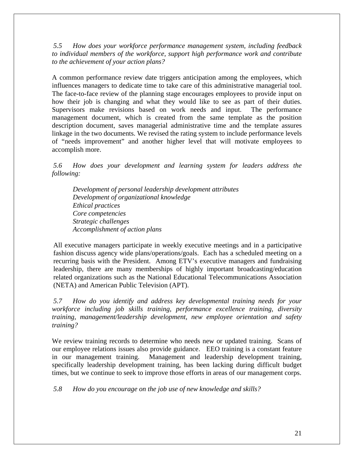*5.5 How does your workforce performance management system, including feedback to individual members of the workforce, support high performance work and contribute to the achievement of your action plans?* 

A common performance review date triggers anticipation among the employees, which influences managers to dedicate time to take care of this administrative managerial tool. The face-to-face review of the planning stage encourages employees to provide input on how their job is changing and what they would like to see as part of their duties. Supervisors make revisions based on work needs and input. The performance management document, which is created from the same template as the position description document, saves managerial administrative time and the template assures linkage in the two documents. We revised the rating system to include performance levels of "needs improvement" and another higher level that will motivate employees to accomplish more.

*5.6 How does your development and learning system for leaders address the following:* 

*Development of personal leadership development attributes Development of organizational knowledge Ethical practices Core competencies Strategic challenges Accomplishment of action plans* 

All executive managers participate in weekly executive meetings and in a participative fashion discuss agency wide plans/operations/goals. Each has a scheduled meeting on a recurring basis with the President. Among ETV's executive managers and fundraising leadership, there are many memberships of highly important broadcasting/education related organizations such as the National Educational Telecommunications Association (NETA) and American Public Television (APT).

*5.7 How do you identify and address key developmental training needs for your workforce including job skills training, performance excellence training, diversity training, management/leadership development, new employee orientation and safety training?* 

We review training records to determine who needs new or updated training. Scans of our employee relations issues also provide guidance. EEO training is a constant feature in our management training. Management and leadership development training, specifically leadership development training, has been lacking during difficult budget times, but we continue to seek to improve those efforts in areas of our management corps.

*5.8 How do you encourage on the job use of new knowledge and skills?*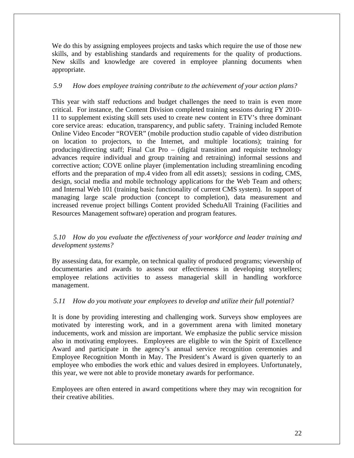We do this by assigning employees projects and tasks which require the use of those new skills, and by establishing standards and requirements for the quality of productions. New skills and knowledge are covered in employee planning documents when appropriate.

## *5.9 How does employee training contribute to the achievement of your action plans?*

This year with staff reductions and budget challenges the need to train is even more critical. For instance, the Content Division completed training sessions during FY 2010- 11 to supplement existing skill sets used to create new content in ETV's three dominant core service areas: education, transparency, and public safety. Training included Remote Online Video Encoder "ROVER" (mobile production studio capable of video distribution on location to projectors, to the Internet, and multiple locations); training for producing/directing staff; Final Cut Pro – (digital transition and requisite technology advances require individual and group training and retraining) informal sessions and corrective action; COVE online player (implementation including streamlining encoding efforts and the preparation of mp.4 video from all edit assets); sessions in coding, CMS, design, social media and mobile technology applications for the Web Team and others; and Internal Web 101 (training basic functionality of current CMS system). In support of managing large scale production (concept to completion), data measurement and increased revenue project billings Content provided ScheduAll Training (Facilities and Resources Management software) operation and program features.

## *5.10 How do you evaluate the effectiveness of your workforce and leader training and development systems?*

By assessing data, for example, on technical quality of produced programs; viewership of documentaries and awards to assess our effectiveness in developing storytellers; employee relations activities to assess managerial skill in handling workforce management.

#### *5.11 How do you motivate your employees to develop and utilize their full potential?*

It is done by providing interesting and challenging work. Surveys show employees are motivated by interesting work, and in a government arena with limited monetary inducements, work and mission are important. We emphasize the public service mission also in motivating employees. Employees are eligible to win the Spirit of Excellence Award and participate in the agency's annual service recognition ceremonies and Employee Recognition Month in May. The President's Award is given quarterly to an employee who embodies the work ethic and values desired in employees. Unfortunately, this year, we were not able to provide monetary awards for performance.

Employees are often entered in award competitions where they may win recognition for their creative abilities.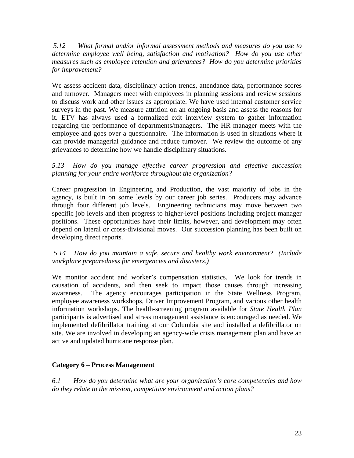*5.12 What formal and/or informal assessment methods and measures do you use to determine employee well being, satisfaction and motivation? How do you use other measures such as employee retention and grievances? How do you determine priorities for improvement?* 

We assess accident data, disciplinary action trends, attendance data, performance scores and turnover. Managers meet with employees in planning sessions and review sessions to discuss work and other issues as appropriate. We have used internal customer service surveys in the past. We measure attrition on an ongoing basis and assess the reasons for it. ETV has always used a formalized exit interview system to gather information regarding the performance of departments/managers. The HR manager meets with the employee and goes over a questionnaire. The information is used in situations where it can provide managerial guidance and reduce turnover. We review the outcome of any grievances to determine how we handle disciplinary situations.

*5.13 How do you manage effective career progression and effective succession planning for your entire workforce throughout the organization?* 

Career progression in Engineering and Production, the vast majority of jobs in the agency, is built in on some levels by our career job series. Producers may advance through four different job levels. Engineering technicians may move between two specific job levels and then progress to higher-level positions including project manager positions. These opportunities have their limits, however, and development may often depend on lateral or cross-divisional moves. Our succession planning has been built on developing direct reports.

 *5.14 How do you maintain a safe, secure and healthy work environment? (Include workplace preparedness for emergencies and disasters.)* 

We monitor accident and worker's compensation statistics. We look for trends in causation of accidents, and then seek to impact those causes through increasing awareness. The agency encourages participation in the State Wellness Program, employee awareness workshops, Driver Improvement Program, and various other health information workshops. The health-screening program available for *State Health Plan* participants is advertised and stress management assistance is encouraged as needed. We implemented defibrillator training at our Columbia site and installed a defibrillator on site. We are involved in developing an agency-wide crisis management plan and have an active and updated hurricane response plan.

#### **Category 6 – Process Management**

*6.1 How do you determine what are your organization's core competencies and how do they relate to the mission, competitive environment and action plans?*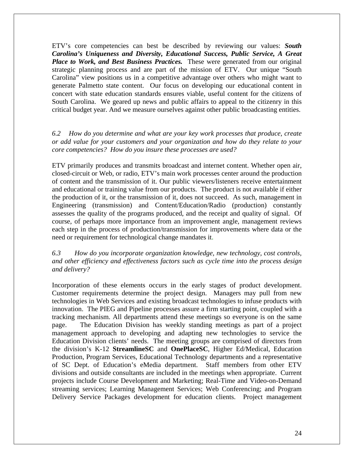ETV's core competencies can best be described by reviewing our values: *South Carolina's Uniqueness and Diversity, Educational Success, Public Service, A Great Place to Work, and Best Business Practices.* These were generated from our original strategic planning process and are part of the mission of ETV. Our unique "South Carolina" view positions us in a competitive advantage over others who might want to generate Palmetto state content. Our focus on developing our educational content in concert with state education standards ensures viable, useful content for the citizens of South Carolina. We geared up news and public affairs to appeal to the citizenry in this critical budget year. And we measure ourselves against other public broadcasting entities.

## *6.2 How do you determine and what are your key work processes that produce, create or add value for your customers and your organization and how do they relate to your core competencies? How do you insure these processes are used?*

ETV primarily produces and transmits broadcast and internet content. Whether open air, closed-circuit or Web, or radio, ETV's main work processes center around the production of content and the transmission of it. Our public viewers/listeners receive entertainment and educational or training value from our products. The product is not available if either the production of it, or the transmission of it, does not succeed. As such, management in Engineering (transmission) and Content/Education/Radio (production) constantly assesses the quality of the programs produced, and the receipt and quality of signal. Of course, of perhaps more importance from an improvement angle, management reviews each step in the process of production/transmission for improvements where data or the need or requirement for technological change mandates it.

## *6.3 How do you incorporate organization knowledge, new technology, cost controls, and other efficiency and effectiveness factors such as cycle time into the process design and delivery?*

Incorporation of these elements occurs in the early stages of product development. Customer requirements determine the project design. Managers may pull from new technologies in Web Services and existing broadcast technologies to infuse products with innovation. The PIEG and Pipeline processes assure a firm starting point, coupled with a tracking mechanism. All departments attend these meetings so everyone is on the same page. The Education Division has weekly standing meetings as part of a project management approach to developing and adapting new technologies to service the Education Division clients' needs. The meeting groups are comprised of directors from the division's K-12 **StreamlineSC** and **OnePlaceSC**, Higher Ed/Medical, Education Production, Program Services, Educational Technology departments and a representative of SC Dept. of Education's eMedia department. Staff members from other ETV divisions and outside consultants are included in the meetings when appropriate. Current projects include Course Development and Marketing; Real-Time and Video-on-Demand streaming services; Learning Management Services; Web Conferencing; and Program Delivery Service Packages development for education clients. Project management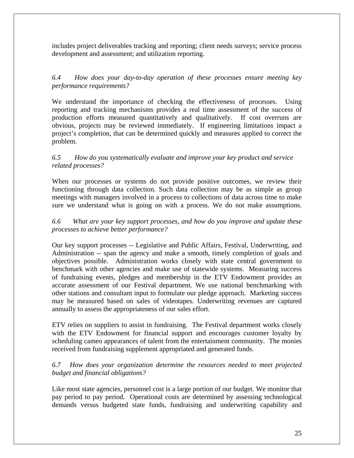includes project deliverables tracking and reporting; client needs surveys; service process development and assessment; and utilization reporting.

*6.4 How does your day-to-day operation of these processes ensure meeting key performance requirements?*

We understand the importance of checking the effectiveness of processes. Using reporting and tracking mechanisms provides a real time assessment of the success of production efforts measured quantitatively and qualitatively. If cost overruns are obvious, projects may be reviewed immediately. If engineering limitations impact a project's completion, that can be determined quickly and measures applied to correct the problem.

## *6.5 How do you systematically evaluate and improve your key product and service related processes?*

When our processes or systems do not provide positive outcomes, we review their functioning through data collection. Such data collection may be as simple as group meetings with managers involved in a process to collections of data across time to make sure we understand what is going on with a process. We do not make assumptions.

## *6.6 What are your key support processes, and how do you improve and update these processes to achieve better performance?*

Our key support processes -- Legislative and Public Affairs, Festival, Underwriting, and Administration -- span the agency and make a smooth, timely completion of goals and objectives possible. Administration works closely with state central government to benchmark with other agencies and make use of statewide systems. Measuring success of fundraising events, pledges and membership in the ETV Endowment provides an accurate assessment of our Festival department. We use national benchmarking with other stations and consultant input to formulate our pledge approach. Marketing success may be measured based on sales of videotapes. Underwriting revenues are captured annually to assess the appropriateness of our sales effort.

ETV relies on suppliers to assist in fundraising. The Festival department works closely with the ETV Endowment for financial support and encourages customer loyalty by scheduling cameo appearances of talent from the entertainment community. The monies received from fundraising supplement appropriated and generated funds.

## *6.7 How does your organization determine the resources needed to meet projected budget and financial obligations?*

Like most state agencies, personnel cost is a large portion of our budget. We monitor that pay period to pay period. Operational costs are determined by assessing technological demands versus budgeted state funds, fundraising and underwriting capability and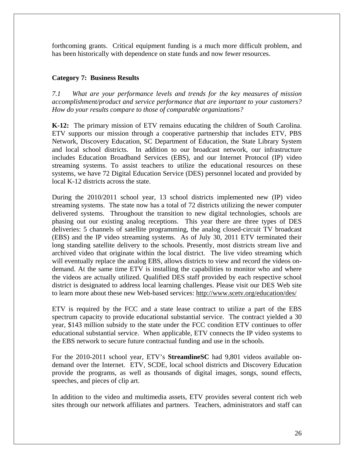forthcoming grants. Critical equipment funding is a much more difficult problem, and has been historically with dependence on state funds and now fewer resources.

## **Category 7: Business Results**

*7.1 What are your performance levels and trends for the key measures of mission accomplishment/product and service performance that are important to your customers? How do your results compare to those of comparable organizations?* 

**K-12:** The primary mission of ETV remains educating the children of South Carolina. ETV supports our mission through a cooperative partnership that includes ETV, PBS Network, Discovery Education, SC Department of Education, the State Library System and local school districts. In addition to our broadcast network, our infrastructure includes Education Broadband Services (EBS), and our Internet Protocol (IP) video streaming systems. To assist teachers to utilize the educational resources on these systems, we have 72 Digital Education Service (DES) personnel located and provided by local K-12 districts across the state.

During the 2010/2011 school year, 13 school districts implemented new (IP) video streaming systems. The state now has a total of 72 districts utilizing the newer computer delivered systems. Throughout the transition to new digital technologies, schools are phasing out our existing analog receptions. This year there are three types of DES deliveries: 5 channels of satellite programming, the analog closed-circuit TV broadcast (EBS) and the IP video streaming systems. As of July 30, 2011 ETV terminated their long standing satellite delivery to the schools. Presently, most districts stream live and archived video that originate within the local district. The live video streaming which will eventually replace the analog EBS, allows districts to view and record the videos ondemand. At the same time ETV is installing the capabilities to monitor who and where the videos are actually utilized. Qualified DES staff provided by each respective school district is designated to address local learning challenges. Please visit our DES Web site to learn more about these new Web-based services: http://www.scetv.org/education/des/

ETV is required by the FCC and a state lease contract to utilize a part of the EBS spectrum capacity to provide educational substantial service. The contract yielded a 30 year, \$143 million subsidy to the state under the FCC condition ETV continues to offer educational substantial service. When applicable, ETV connects the IP video systems to the EBS network to secure future contractual funding and use in the schools.

For the 2010-2011 school year, ETV's **StreamlineSC** had 9,801 videos available ondemand over the Internet. ETV, SCDE, local school districts and Discovery Education provide the programs, as well as thousands of digital images, songs, sound effects, speeches, and pieces of clip art.

In addition to the video and multimedia assets, ETV provides several content rich web sites through our network affiliates and partners. Teachers, administrators and staff can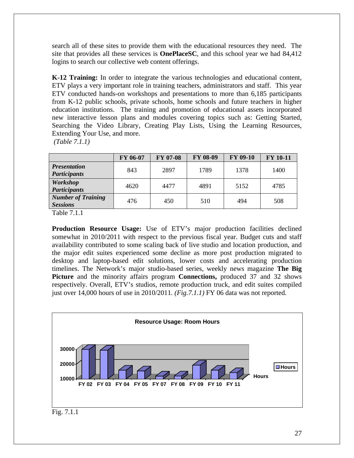search all of these sites to provide them with the educational resources they need. The site that provides all these services is **OnePlaceSC**, and this school year we had 84,412 logins to search our collective web content offerings.

**K-12 Training:** In order to integrate the various technologies and educational content, ETV plays a very important role in training teachers, administrators and staff. This year ETV conducted hands-on workshops and presentations to more than 6,185 participants from K-12 public schools, private schools, home schools and future teachers in higher education institutions. The training and promotion of educational assets incorporated new interactive lesson plans and modules covering topics such as: Getting Started, Searching the Video Library, Creating Play Lists, Using the Learning Resources, Extending Your Use, and more.

*(Table 7.1.1)*

|                                              | FY 06-07 | <b>FY 07-08</b> | <b>FY 08-09</b> | <b>FY 09-10</b> | <b>FY 10-11</b> |
|----------------------------------------------|----------|-----------------|-----------------|-----------------|-----------------|
| <b>Presentation</b><br><b>Participants</b>   | 843      | 2897            | 1789            | 1378            | 1400            |
| <b>Workshop</b><br><b>Participants</b>       | 4620     | 4477            | 4891            | 5152            | 4785            |
| <b>Number of Training</b><br><b>Sessions</b> | 476      | 450             | 510             | 494             | 508             |

Table 7.1.1

**Production Resource Usage:** Use of ETV's major production facilities declined somewhat in 2010/2011 with respect to the previous fiscal year. Budget cuts and staff availability contributed to some scaling back of live studio and location production, and the major edit suites experienced some decline as more post production migrated to desktop and laptop-based edit solutions, lower costs and accelerating production timelines. The Network's major studio-based series, weekly news magazine **The Big Picture** and the minority affairs program **Connections,** produced 37 and 32 shows respectively. Overall, ETV's studios, remote production truck, and edit suites compiled just over 14,000 hours of use in 2010/2011*. (Fig.7.1.1)* FY 06 data was not reported*.* 

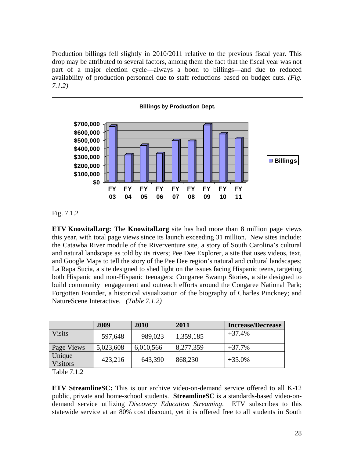Production billings fell slightly in 2010/2011 relative to the previous fiscal year. This drop may be attributed to several factors, among them the fact that the fiscal year was not part of a major election cycle—always a boon to billings—and due to reduced availability of production personnel due to staff reductions based on budget cuts. *(Fig. 7.1.2)*



Fig. 7.1.2

**ETV Knowitall.org:** The **Knowitall.org** site has had more than 8 million page views this year, with total page views since its launch exceeding 31 million. New sites include: the Catawba River module of the Riverventure site, a story of South Carolina's cultural and natural landscape as told by its rivers; Pee Dee Explorer, a site that uses videos, text, and Google Maps to tell the story of the Pee Dee region's natural and cultural landscapes; La Rapa Sucia, a site designed to shed light on the issues facing Hispanic teens, targeting both Hispanic and non-Hispanic teenagers; Congaree Swamp Stories, a site designed to build community engagement and outreach efforts around the Congaree National Park; Forgotten Founder, a historical visualization of the biography of Charles Pinckney; and NatureScene Interactive. *(Table 7.1.2)* 

|                           | 2009      | 2010      | 2011      | <b>Increase/Decrease</b> |
|---------------------------|-----------|-----------|-----------|--------------------------|
| <b>Visits</b>             | 597,648   | 989,023   | 1,359,185 | $+37.4%$                 |
| Page Views                | 5,023,608 | 6,010,566 | 8,277,359 | $+37.7%$                 |
| Unique<br><b>Visitors</b> | 423,216   | 643,390   | 868,230   | $+35.0%$                 |

Table 7.1.2

**ETV StreamlineSC:** This is our archive video-on-demand service offered to all K-12 public, private and home-school students. **StreamlineSC** is a standards-based video-ondemand service utilizing *Discovery Education Streaming*. ETV subscribes to this statewide service at an 80% cost discount, yet it is offered free to all students in South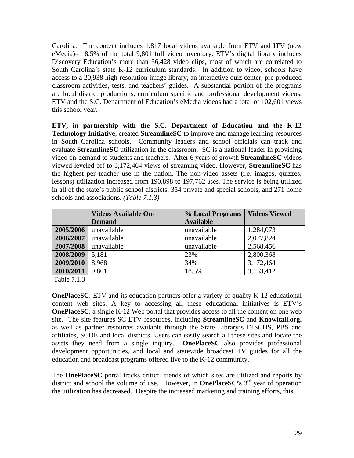Carolina. The content includes 1,817 local videos available from ETV and ITV (now eMedia)– 18.5% of the total 9,801 full video inventory. ETV's digital library includes Discovery Education's more than 56,428 video clips, most of which are correlated to South Carolina's state K-12 curriculum standards. In addition to video, schools have access to a 20,938 high-resolution image library, an interactive quiz center, pre-produced classroom activities, tests, and teachers' guides. A substantial portion of the programs are local district productions, curriculum specific and professional development videos. ETV and the S.C. Department of Education's eMedia videos had a total of 102,601 views this school year.

**ETV, in partnership with the S.C. Department of Education and the K-12 Technology Initiative**, created **StreamlineSC** to improve and manage learning resources in South Carolina schools. Community leaders and school officials can track and evaluate **StreamlineSC** utilization in the classroom. SC is a national leader in providing video on-demand to students and teachers. After 6 years of growth **StreamlineSC** videos viewed leveled off to 3,172,464 views of streaming video. However, **StreamlineSC** has the highest per teacher use in the nation. The non-video assets (i.e. images, quizzes, lessons) utilization increased from 190,898 to 197,762 uses. The service is being utilized in all of the state's public school districts, 354 private and special schools, and 271 home schools and associations. *(Table 7.1.3)* 

|           | <b>Videos Available On-</b> | % Local Programs | <b>Videos Viewed</b> |
|-----------|-----------------------------|------------------|----------------------|
|           | <b>Demand</b>               | <b>Available</b> |                      |
| 2005/2006 | unavailable                 | unavailable      | 1,284,073            |
| 2006/2007 | unavailable                 | unavailable      | 2,077,824            |
| 2007/2008 | unavailable                 | unavailable      | 2,568,456            |
| 2008/2009 | 5,181                       | 23%              | 2,800,368            |
| 2009/2010 | 8,968                       | 34%              | 3,172,464            |
| 2010/2011 | 9,801                       | 18.5%            | 3,153,412            |

Table 7.1.3

**OnePlaceSC**: ETV and its education partners offer a variety of quality K-12 educational content web sites. A key to accessing all these educational initiatives is ETV's **OnePlaceSC**, a single K-12 Web portal that provides access to all the content on one web site. The site features SC ETV resources, including **StreamlineSC** and **Knowitall.org,** as well as partner resources available through the State Library's DISCUS, PBS and affiliates, SCDE and local districts. Users can easily search all these sites and locate the assets they need from a single inquiry. **OnePlaceSC** also provides professional development opportunities, and local and statewide broadcast TV guides for all the education and broadcast programs offered live to the K-12 community.

The **OnePlaceSC** portal tracks critical trends of which sites are utilized and reports by district and school the volume of use. However, in **OnePlaceSC's** 3<sup>rd</sup> year of operation the utilization has decreased. Despite the increased marketing and training efforts, this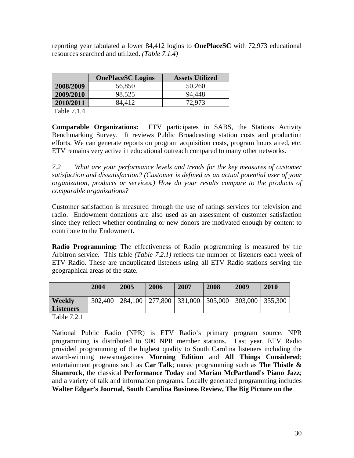reporting year tabulated a lower 84,412 logins to **OnePlaceSC** with 72,973 educational resources searched and utilized. *(Table 7.1.4)* 

|           | <b>OnePlaceSC</b> Logins | <b>Assets Utilized</b> |
|-----------|--------------------------|------------------------|
| 2008/2009 | 56,850                   | 50,260                 |
| 2009/2010 | 98,525                   | 94,448                 |
| 2010/2011 | 84.412                   | 72,973                 |

Table 7.1.4

**Comparable Organizations:** ETV participates in SABS, the Stations Activity Benchmarking Survey. It reviews Public Broadcasting station costs and production efforts. We can generate reports on program acquisition costs, program hours aired, etc. ETV remains very active in educational outreach compared to many other networks.

*7.2 What are your performance levels and trends for the key measures of customer satisfaction and dissatisfaction? (Customer is defined as an actual potential user of your organization, products or services.) How do your results compare to the products of comparable organizations?* 

Customer satisfaction is measured through the use of ratings services for television and radio. Endowment donations are also used as an assessment of customer satisfaction since they reflect whether continuing or new donors are motivated enough by content to contribute to the Endowment.

**Radio Programming:** The effectiveness of Radio programming is measured by the Arbitron service. This table *(Table 7.2.1)* reflects the number of listeners each week of ETV Radio. These are unduplicated listeners using all ETV Radio stations serving the geographical areas of the state.

|                  | 2004    | 2005 | 2006                        | 2007 | 2008    | 2009    | 2010    |
|------------------|---------|------|-----------------------------|------|---------|---------|---------|
| <b>Weekly</b>    | 302,400 |      | 284,100   277,800   331,000 |      | 305,000 | 303,000 | 355,300 |
| <b>Listeners</b> |         |      |                             |      |         |         |         |

Table 7.2.1

National Public Radio (NPR) is ETV Radio's primary program source. NPR programming is distributed to 900 NPR member stations. Last year, ETV Radio provided programming of the highest quality to South Carolina listeners including the award-winning newsmagazines **Morning Edition** and **All Things Considered**; entertainment programs such as **Car Talk**; music programming such as **The Thistle & Shamrock**, the classical **Performance Today** and **Marian McPartland's Piano Jazz**; and a variety of talk and information programs. Locally generated programming includes **Walter Edgar's Journal, South Carolina Business Review, The Big Picture on the**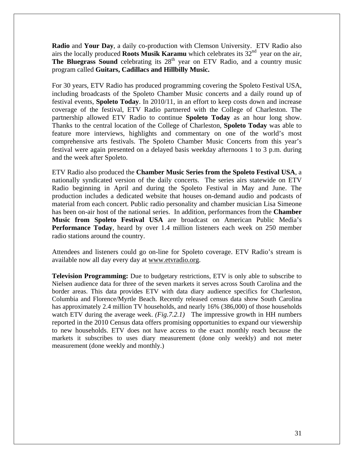**Radio** and **Your Day**, a daily co-production with Clemson University. ETV Radio also airs the locally produced **Roots Musik Karamu** which celebrates its  $32<sup>nd</sup>$  year on the air, **The Bluegrass Sound** celebrating its 28<sup>th</sup> year on ETV Radio, and a country music program called **Guitars, Cadillacs and Hillbilly Music.** 

For 30 years, ETV Radio has produced programming covering the Spoleto Festival USA, including broadcasts of the Spoleto Chamber Music concerts and a daily round up of festival events, **Spoleto Today**. In 2010/11, in an effort to keep costs down and increase coverage of the festival, ETV Radio partnered with the College of Charleston. The partnership allowed ETV Radio to continue **Spoleto Today** as an hour long show. Thanks to the central location of the College of Charleston, **Spoleto Today** was able to feature more interviews, highlights and commentary on one of the world's most comprehensive arts festivals. The Spoleto Chamber Music Concerts from this year's festival were again presented on a delayed basis weekday afternoons 1 to 3 p.m. during and the week after Spoleto.

ETV Radio also produced the **Chamber Music Series from the Spoleto Festival USA**, a nationally syndicated version of the daily concerts. The series airs statewide on ETV Radio beginning in April and during the Spoleto Festival in May and June. The production includes a dedicated website that houses on-demand audio and podcasts of material from each concert. Public radio personality and chamber musician Lisa Simeone has been on-air host of the national series. In addition, performances from the **Chamber Music from Spoleto Festival USA** are broadcast on American Public Media's **Performance Today**, heard by over 1.4 million listeners each week on 250 member radio stations around the country.

Attendees and listeners could go on-line for Spoleto coverage. ETV Radio's stream is available now all day every day at www.etvradio.org.

**Television Programming:** Due to budgetary restrictions, ETV is only able to subscribe to Nielsen audience data for three of the seven markets it serves across South Carolina and the border areas. This data provides ETV with data diary audience specifics for Charleston, Columbia and Florence/Myrtle Beach. Recently released census data show South Carolina has approximately 2.4 million TV households, and nearly 16% (386,000) of those households watch ETV during the average week. *(Fig.7.2.1)* The impressive growth in HH numbers reported in the 2010 Census data offers promising opportunities to expand our viewership to new households. ETV does not have access to the exact monthly reach because the markets it subscribes to uses diary measurement (done only weekly) and not meter measurement (done weekly and monthly.)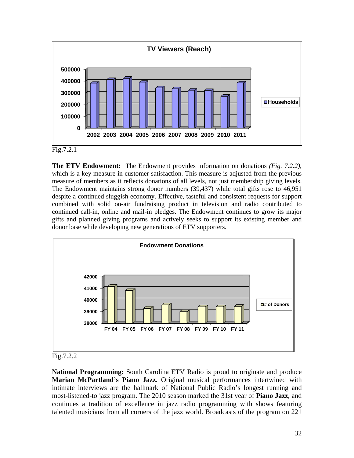

**The ETV Endowment:** The Endowment provides information on donations *(Fig. 7.2.2)*, which is a key measure in customer satisfaction. This measure is adjusted from the previous measure of members as it reflects donations of all levels, not just membership giving levels. The Endowment maintains strong donor numbers (39,437) while total gifts rose to 46,951 despite a continued sluggish economy. Effective, tasteful and consistent requests for support combined with solid on-air fundraising product in television and radio contributed to continued call-in, online and mail-in pledges. The Endowment continues to grow its major gifts and planned giving programs and actively seeks to support its existing member and donor base while developing new generations of ETV supporters.



Fig.7.2.2

**National Programming:** South Carolina ETV Radio is proud to originate and produce **Marian McPartland's Piano Jazz**. Original musical performances intertwined with intimate interviews are the hallmark of National Public Radio's longest running and most-listened-to jazz program. The 2010 season marked the 31st year of **Piano Jazz**, and continues a tradition of excellence in jazz radio programming with shows featuring talented musicians from all corners of the jazz world. Broadcasts of the program on 221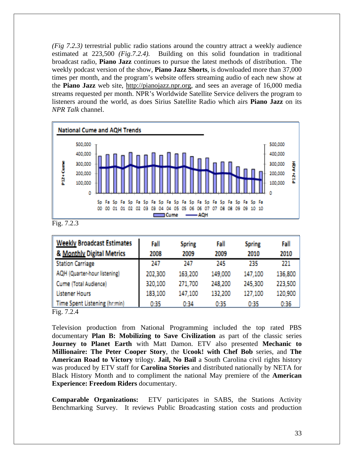*(Fig 7.2.3)* terrestrial public radio stations around the country attract a weekly audience estimated at 223,500 *(Fig.7.2.4).* Building on this solid foundation in traditional broadcast radio, **Piano Jazz** continues to pursue the latest methods of distribution. The weekly podcast version of the show, **Piano Jazz Shorts**, is downloaded more than 37,000 times per month, and the program's website offers streaming audio of each new show at the **Piano Jazz** web site, http://pianojazz.npr.org, and sees an average of 16,000 media streams requested per month. NPR's Worldwide Satellite Service delivers the program to listeners around the world, as does Sirius Satellite Radio which airs **Piano Jazz** on its *NPR Talk* channel.



Fig. 7.2.3

| <b>Weekly Broadcast Estimates</b>                         | Fall    | <b>Spring</b> | Fall    | <b>Spring</b> | Fall    |
|-----------------------------------------------------------|---------|---------------|---------|---------------|---------|
| & Monthly Digital Metrics                                 | 2008    | 2009          | 2009    | 2010          | 2010    |
| <b>Station Carriage</b>                                   | 247     | 247           | 245     | 235           | 221     |
| AQH (Quarter-hour listening)                              | 202,300 | 163,200       | 149,000 | 147,100       | 136,800 |
| Cume (Total Audience)                                     | 320,100 | 271,700       | 248,200 | 245,300       | 223,500 |
| <b>Listener Hours</b>                                     | 183,100 | 147,100       | 132,200 | 127,100       | 120,900 |
| Time Spent Listening (hr:min)<br>$\overline{\phantom{a}}$ | 0:35    | 0:34          | 0:35    | 0:35          | 0:36    |

Fig. 7.2.4

Television production from National Programming included the top rated PBS documentary **Plan B: Mobilizing to Save Civilization** as part of the classic series **Journey to Planet Earth** with Matt Damon. ETV also presented **Mechanic to Millionaire: The Peter Cooper Story**, the **Ucook! with Chef Bob** series, and **The American Road to Victory** trilogy. **Jail, No Bail** a South Carolina civil rights history was produced by ETV staff for **Carolina Stories** and distributed nationally by NETA for Black History Month and to compliment the national May premiere of the **American Experience: Freedom Riders** documentary.

**Comparable Organizations:** ETV participates in SABS, the Stations Activity Benchmarking Survey. It reviews Public Broadcasting station costs and production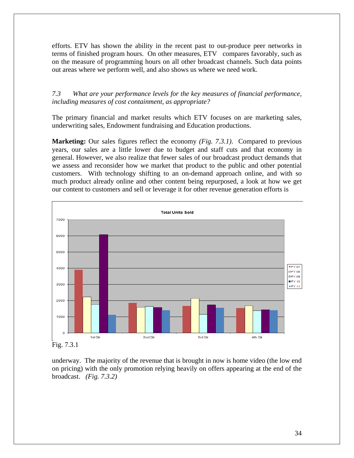efforts. ETV has shown the ability in the recent past to out-produce peer networks in terms of finished program hours. On other measures, ETV compares favorably, such as on the measure of programming hours on all other broadcast channels. Such data points out areas where we perform well, and also shows us where we need work.

## *7.3 What are your performance levels for the key measures of financial performance, including measures of cost containment, as appropriate?*

The primary financial and market results which ETV focuses on are marketing sales, underwriting sales, Endowment fundraising and Education productions.

**Marketing:** Our sales figures reflect the economy *(Fig. 7.3.1)*. Compared to previous years, our sales are a little lower due to budget and staff cuts and that economy in general. However, we also realize that fewer sales of our broadcast product demands that we assess and reconsider how we market that product to the public and other potential customers. With technology shifting to an on-demand approach online, and with so much product already online and other content being repurposed, a look at how we get our content to customers and sell or leverage it for other revenue generation efforts is



Fig. 7.3.1

underway. The majority of the revenue that is brought in now is home video (the low end on pricing) with the only promotion relying heavily on offers appearing at the end of the broadcast. *(Fig. 7.3.2)*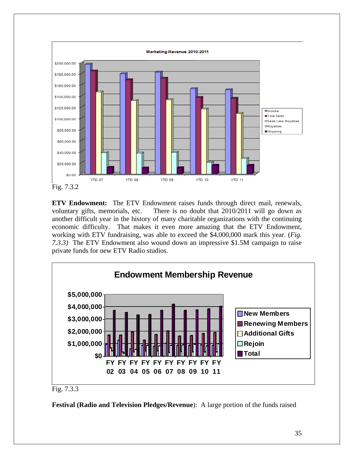

**ETV Endowment:** The ETV Endowment raises funds through direct mail, renewals, voluntary gifts, memorials, etc. There is no doubt that 2010/2011 will go down as another difficult year in the history of many charitable organizations with the continuing economic difficulty. That makes it even more amazing that the ETV Endowment, working with ETV fundraising, was able to exceed the \$4,000,000 mark this year. (*Fig. 7.3.3)* The ETV Endowment also wound down an impressive \$1.5M campaign to raise private funds for new ETV Radio studios.



Fig. 7.3.3

**Festival (Radio and Television Pledges/Revenue**): A large portion of the funds raised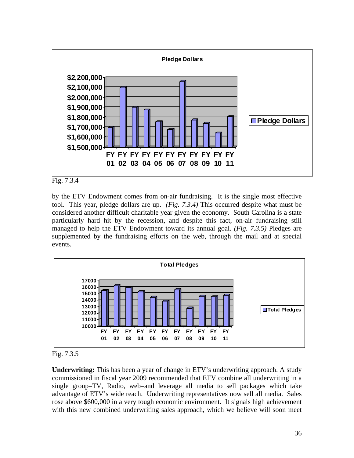



by the ETV Endowment comes from on-air fundraising. It is the single most effective tool. This year, pledge dollars are up. *(Fig. 7.3.4)* This occurred despite what must be considered another difficult charitable year given the economy. South Carolina is a state particularly hard hit by the recession, and despite this fact, on-air fundraising still managed to help the ETV Endowment toward its annual goal. *(Fig. 7.3.5)* Pledges are supplemented by the fundraising efforts on the web, through the mail and at special events.





**Underwriting:** This has been a year of change in ETV's underwriting approach. A study commissioned in fiscal year 2009 recommended that ETV combine all underwriting in a single group–TV, Radio, web–and leverage all media to sell packages which take advantage of ETV's wide reach. Underwriting representatives now sell all media. Sales rose above \$600,000 in a very tough economic environment. It signals high achievement with this new combined underwriting sales approach, which we believe will soon meet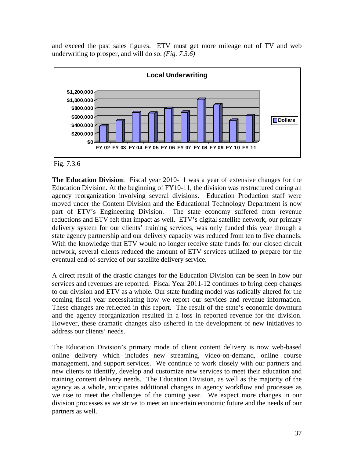and exceed the past sales figures. ETV must get more mileage out of TV and web underwriting to prosper, and will do so. *(Fig. 7.3.6)*



#### Fig. 7.3.6

**The Education Division**: Fiscal year 2010-11 was a year of extensive changes for the Education Division. At the beginning of FY10-11, the division was restructured during an agency reorganization involving several divisions. Education Production staff were moved under the Content Division and the Educational Technology Department is now part of ETV's Engineering Division. The state economy suffered from revenue reductions and ETV felt that impact as well. ETV's digital satellite network, our primary delivery system for our clients' training services, was only funded this year through a state agency partnership and our delivery capacity was reduced from ten to five channels. With the knowledge that ETV would no longer receive state funds for our closed circuit network, several clients reduced the amount of ETV services utilized to prepare for the eventual end-of-service of our satellite delivery service.

A direct result of the drastic changes for the Education Division can be seen in how our services and revenues are reported. Fiscal Year 2011-12 continues to bring deep changes to our division and ETV as a whole. Our state funding model was radically altered for the coming fiscal year necessitating how we report our services and revenue information. These changes are reflected in this report. The result of the state's economic downturn and the agency reorganization resulted in a loss in reported revenue for the division. However, these dramatic changes also ushered in the development of new initiatives to address our clients' needs.

The Education Division's primary mode of client content delivery is now web-based online delivery which includes new streaming, video-on-demand, online course management, and support services. We continue to work closely with our partners and new clients to identify, develop and customize new services to meet their education and training content delivery needs. The Education Division, as well as the majority of the agency as a whole, anticipates additional changes in agency workflow and processes as we rise to meet the challenges of the coming year. We expect more changes in our division processes as we strive to meet an uncertain economic future and the needs of our partners as well.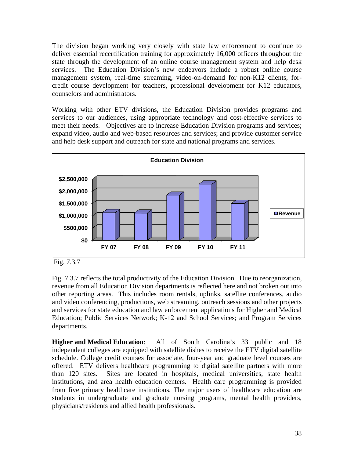The division began working very closely with state law enforcement to continue to deliver essential recertification training for approximately 16,000 officers throughout the state through the development of an online course management system and help desk services. The Education Division's new endeavors include a robust online course management system, real-time streaming, video-on-demand for non-K12 clients, forcredit course development for teachers, professional development for K12 educators, counselors and administrators.

Working with other ETV divisions, the Education Division provides programs and services to our audiences, using appropriate technology and cost-effective services to meet their needs. Objectives are to increase Education Division programs and services; expand video, audio and web-based resources and services; and provide customer service and help desk support and outreach for state and national programs and services.



Fig. 7.3.7

Fig. 7.3.7 reflects the total productivity of the Education Division. Due to reorganization, revenue from all Education Division departments is reflected here and not broken out into other reporting areas. This includes room rentals, uplinks, satellite conferences, audio and video conferencing, productions, web streaming, outreach sessions and other projects and services for state education and law enforcement applications for Higher and Medical Education; Public Services Network; K-12 and School Services; and Program Services departments.

**Higher and Medical Education**: All of South Carolina's 33 public and 18 independent colleges are equipped with satellite dishes to receive the ETV digital satellite schedule. College credit courses for associate, four-year and graduate level courses are offered. ETV delivers healthcare programming to digital satellite partners with more than 120 sites. Sites are located in hospitals, medical universities, state health institutions, and area health education centers. Health care programming is provided from five primary healthcare institutions. The major users of healthcare education are students in undergraduate and graduate nursing programs, mental health providers, physicians/residents and allied health professionals.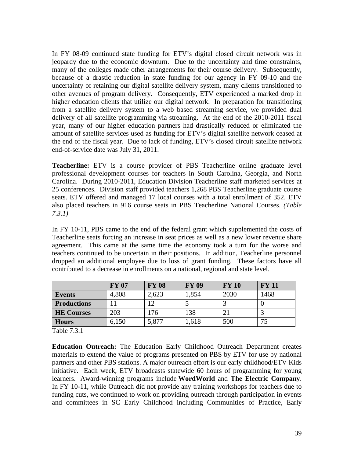In FY 08-09 continued state funding for ETV's digital closed circuit network was in jeopardy due to the economic downturn. Due to the uncertainty and time constraints, many of the colleges made other arrangements for their course delivery. Subsequently, because of a drastic reduction in state funding for our agency in FY 09-10 and the uncertainty of retaining our digital satellite delivery system, many clients transitioned to other avenues of program delivery. Consequently, ETV experienced a marked drop in higher education clients that utilize our digital network. In preparation for transitioning from a satellite delivery system to a web based streaming service, we provided dual delivery of all satellite programming via streaming. At the end of the 2010-2011 fiscal year, many of our higher education partners had drastically reduced or eliminated the amount of satellite services used as funding for ETV's digital satellite network ceased at the end of the fiscal year. Due to lack of funding, ETV's closed circuit satellite network end-of-service date was July 31, 2011.

**Teacherline:** ETV is a course provider of PBS Teacherline online graduate level professional development courses for teachers in South Carolina, Georgia, and North Carolina. During 2010-2011, Education Division Teacherline staff marketed services at 25 conferences. Division staff provided teachers 1,268 PBS Teacherline graduate course seats. ETV offered and managed 17 local courses with a total enrollment of 352. ETV also placed teachers in 916 course seats in PBS Teacherline National Courses. *(Table 7.3.1)* 

In FY 10-11, PBS came to the end of the federal grant which supplemented the costs of Teacherline seats forcing an increase in seat prices as well as a new lower revenue share agreement. This came at the same time the economy took a turn for the worse and teachers continued to be uncertain in their positions. In addition, Teacherline personnel dropped an additional employee due to loss of grant funding. These factors have all contributed to a decrease in enrollments on a national, regional and state level.

|                    | <b>FY 07</b> | <b>FY 08</b> | <b>FY 09</b> | <b>FY 10</b> | <b>FY 11</b> |
|--------------------|--------------|--------------|--------------|--------------|--------------|
| <b>Events</b>      | 4,808        | 2,623        | 1,854        | 2030         | 1468         |
| <b>Productions</b> |              | 12           |              |              |              |
| <b>HE Courses</b>  | 203          | 176          | 138          |              |              |
| <b>Hours</b>       | 6,150        | 5,877        | .618         | 500          | 75           |

Table 7.3.1

**Education Outreach:** The Education Early Childhood Outreach Department creates materials to extend the value of programs presented on PBS by ETV for use by national partners and other PBS stations. A major outreach effort is our early childhood/ETV Kids initiative. Each week, ETV broadcasts statewide 60 hours of programming for young learners. Award-winning programs include **WordWorld** and **The Electric Company**. In FY 10-11, while Outreach did not provide any training workshops for teachers due to funding cuts, we continued to work on providing outreach through participation in events and committees in SC Early Childhood including Communities of Practice, Early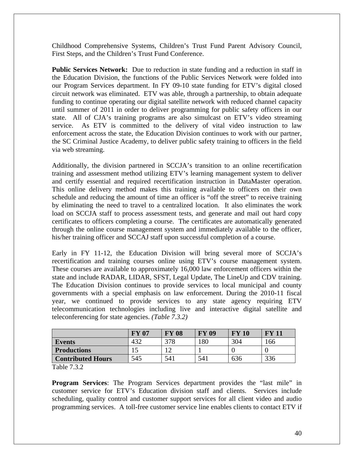Childhood Comprehensive Systems, Children's Trust Fund Parent Advisory Council, First Steps, and the Children's Trust Fund Conference.

**Public Services Network:** Due to reduction in state funding and a reduction in staff in the Education Division, the functions of the Public Services Network were folded into our Program Services department. In FY 09-10 state funding for ETV's digital closed circuit network was eliminated. ETV was able, through a partnership, to obtain adequate funding to continue operating our digital satellite network with reduced channel capacity until summer of 2011 in order to deliver programming for public safety officers in our state. All of CJA's training programs are also simulcast on ETV's video streaming service. As ETV is committed to the delivery of vital video instruction to law enforcement across the state, the Education Division continues to work with our partner, the SC Criminal Justice Academy, to deliver public safety training to officers in the field via web streaming.

Additionally, the division partnered in SCCJA's transition to an online recertification training and assessment method utilizing ETV's learning management system to deliver and certify essential and required recertification instruction in DataMaster operation. This online delivery method makes this training available to officers on their own schedule and reducing the amount of time an officer is "off the street" to receive training by eliminating the need to travel to a centralized location. It also eliminates the work load on SCCJA staff to process assessment tests, and generate and mail out hard copy certificates to officers completing a course. The certificates are automatically generated through the online course management system and immediately available to the officer, his/her training officer and SCCAJ staff upon successful completion of a course.

Early in FY 11-12, the Education Division will bring several more of SCCJA's recertification and training courses online using ETV's course management system. These courses are available to approximately 16,000 law enforcement officers within the state and include RADAR, LIDAR, SFST, Legal Update, The LineUp and CDV training. The Education Division continues to provide services to local municipal and county governments with a special emphasis on law enforcement. During the 2010-11 fiscal year, we continued to provide services to any state agency requiring ETV telecommunication technologies including live and interactive digital satellite and teleconferencing for state agencies. *(Table 7.3.2)*

|                          | <b>FY 07</b> | <b>FY 08</b> | <b>FY 09</b> | FY 10 | $\mathbf{F}\mathbf{V}$<br>$-11$ |
|--------------------------|--------------|--------------|--------------|-------|---------------------------------|
| <b>Events</b>            |              | 378          | 180          | 304   | 166                             |
| <b>Productions</b>       |              |              |              |       |                                 |
| <b>Contributed Hours</b> | 545          | 541          | 541          | 636   | 336                             |

Table 7.3.2

**Program Services**: The Program Services department provides the "last mile" in customer service for ETV's Education division staff and clients. Services include scheduling, quality control and customer support services for all client video and audio programming services. A toll-free customer service line enables clients to contact ETV if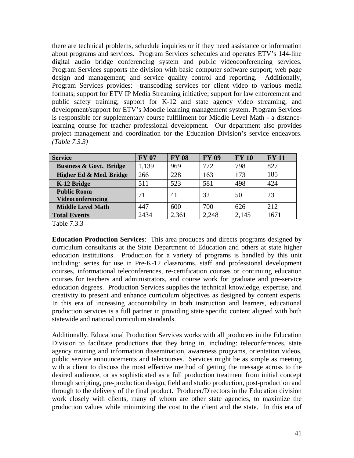there are technical problems, schedule inquiries or if they need assistance or information about programs and services. Program Services schedules and operates ETV's 144-line digital audio bridge conferencing system and public videoconferencing services. Program Services supports the division with basic computer software support; web page design and management; and service quality control and reporting. Additionally, Program Services provides: transcoding services for client video to various media formats; support for ETV IP Media Streaming initiative; support for law enforcement and public safety training; support for K-12 and state agency video streaming; and development/support for ETV's Moodle learning management system. Program Services is responsible for supplementary course fulfillment for Middle Level Math - a distancelearning course for teacher professional development. Our department also provides project management and coordination for the Education Division's service endeavors. *(Table 7.3.3)* 

| <b>Service</b>                                 | <b>FY 07</b> | <b>FY 08</b> | <b>FY 09</b> | <b>FY 10</b> | <b>FY 11</b> |
|------------------------------------------------|--------------|--------------|--------------|--------------|--------------|
| <b>Business &amp; Govt. Bridge</b>             | 1,139        | 969          | 772          | 798          | 827          |
| Higher Ed & Med. Bridge                        | 266          | 228          | 163          | 173          | 185          |
| K-12 Bridge                                    | 511          | 523          | 581          | 498          | 424          |
| <b>Public Room</b><br><b>Videoconferencing</b> | 71           | 41           | 32           | 50           | 23           |
| <b>Middle Level Math</b>                       | 447          | 600          | 700          | 626          | 212          |
| <b>Total Events</b>                            | 2434         | 2,361        | 2,248        | 2,145        | 1671         |

Table 7.3.3

**Education Production Services**: This area produces and directs programs designed by curriculum consultants at the State Department of Education and others at state higher education institutions. Production for a variety of programs is handled by this unit including: series for use in Pre-K-12 classrooms, staff and professional development courses, informational teleconferences, re-certification courses or continuing education courses for teachers and administrators, and course work for graduate and pre-service education degrees. Production Services supplies the technical knowledge, expertise, and creativity to present and enhance curriculum objectives as designed by content experts. In this era of increasing accountability in both instruction and learners, educational production services is a full partner in providing state specific content aligned with both statewide and national curriculum standards.

Additionally, Educational Production Services works with all producers in the Education Division to facilitate productions that they bring in, including: teleconferences, state agency training and information dissemination, awareness programs, orientation videos, public service announcements and telecourses. Services might be as simple as meeting with a client to discuss the most effective method of getting the message across to the desired audience, or as sophisticated as a full production treatment from initial concept through scripting, pre-production design, field and studio production, post-production and through to the delivery of the final product. Producer/Directors in the Education division work closely with clients, many of whom are other state agencies, to maximize the production values while minimizing the cost to the client and the state. In this era of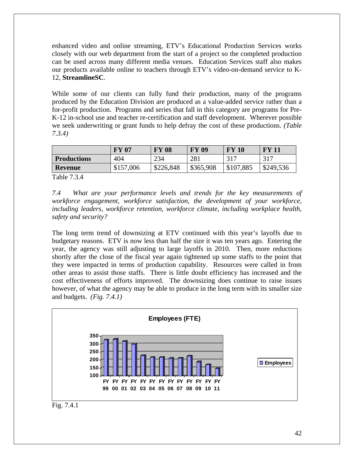enhanced video and online streaming, ETV's Educational Production Services works closely with our web department from the start of a project so the completed production can be used across many different media venues. Education Services staff also makes our products available online to teachers through ETV's video-on-demand service to K-12, **StreamlineSC**.

While some of our clients can fully fund their production, many of the programs produced by the Education Division are produced as a value-added service rather than a for-profit production. Programs and series that fall in this category are programs for Pre-K-12 in-school use and teacher re-certification and staff development. Wherever possible we seek underwriting or grant funds to help defray the cost of these productions. *(Table 7.3.4)* 

|                    | <b>FY 07</b> | FY 08     | <b>FY 09</b> | <b>FY 10</b> | $\bf{FV}$ 11 |
|--------------------|--------------|-----------|--------------|--------------|--------------|
| <b>Productions</b> | 404          | 234       | 281          | 317          | 317          |
| <b>Revenue</b>     | \$157,006    | \$226,848 | \$365,908    | \$107,885    | \$249,536    |

Table 7.3.4

*7.4 What are your performance levels and trends for the key measurements of workforce engagement, workforce satisfaction, the development of your workforce, including leaders, workforce retention, workforce climate, including workplace health, safety and security?* 

The long term trend of downsizing at ETV continued with this year's layoffs due to budgetary reasons. ETV is now less than half the size it was ten years ago. Entering the year, the agency was still adjusting to large layoffs in 2010. Then, more reductions shortly after the close of the fiscal year again tightened up some staffs to the point that they were impacted in terms of production capability. Resources were called in from other areas to assist those staffs. There is little doubt efficiency has increased and the cost effectiveness of efforts improved. The downsizing does continue to raise issues however, of what the agency may be able to produce in the long term with its smaller size and budgets. *(Fig. 7.4.1)*



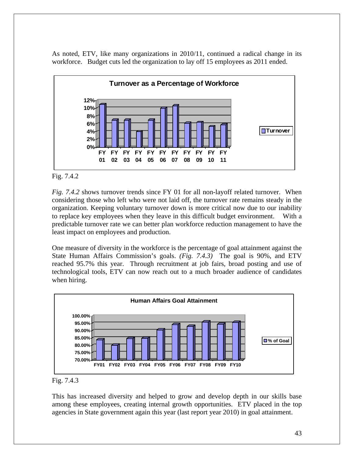As noted, ETV, like many organizations in 2010/11, continued a radical change in its workforce. Budget cuts led the organization to lay off 15 employees as 2011 ended.



#### Fig. 7.4.2

*Fig. 7.4.2* shows turnover trends since FY 01 for all non-layoff related turnover. When considering those who left who were not laid off, the turnover rate remains steady in the organization. Keeping voluntary turnover down is more critical now due to our inability to replace key employees when they leave in this difficult budget environment. With a predictable turnover rate we can better plan workforce reduction management to have the least impact on employees and production.

One measure of diversity in the workforce is the percentage of goal attainment against the State Human Affairs Commission's goals. *(Fig. 7.4.3)* The goal is 90%, and ETV reached 95.7% this year. Through recruitment at job fairs, broad posting and use of technological tools, ETV can now reach out to a much broader audience of candidates when hiring.





This has increased diversity and helped to grow and develop depth in our skills base among these employees, creating internal growth opportunities. ETV placed in the top agencies in State government again this year (last report year 2010) in goal attainment.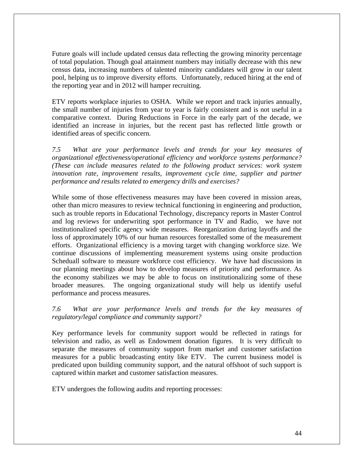Future goals will include updated census data reflecting the growing minority percentage of total population. Though goal attainment numbers may initially decrease with this new census data, increasing numbers of talented minority candidates will grow in our talent pool, helping us to improve diversity efforts. Unfortunately, reduced hiring at the end of the reporting year and in 2012 will hamper recruiting.

ETV reports workplace injuries to OSHA. While we report and track injuries annually, the small number of injuries from year to year is fairly consistent and is not useful in a comparative context. During Reductions in Force in the early part of the decade, we identified an increase in injuries, but the recent past has reflected little growth or identified areas of specific concern.

*7.5 What are your performance levels and trends for your key measures of organizational effectiveness/operational efficiency and workforce systems performance? (These can include measures related to the following product services: work system innovation rate, improvement results, improvement cycle time, supplier and partner performance and results related to emergency drills and exercises?* 

While some of those effectiveness measures may have been covered in mission areas, other than micro measures to review technical functioning in engineering and production, such as trouble reports in Educational Technology, discrepancy reports in Master Control and log reviews for underwriting spot performance in TV and Radio, we have not institutionalized specific agency wide measures. Reorganization during layoffs and the loss of approximately 10% of our human resources forestalled some of the measurement efforts. Organizational efficiency is a moving target with changing workforce size. We continue discussions of implementing measurement systems using onsite production Scheduall software to measure workforce cost efficiency. We have had discussions in our planning meetings about how to develop measures of priority and performance. As the economy stabilizes we may be able to focus on institutionalizing some of these broader measures. The ongoing organizational study will help us identify useful performance and process measures.

*7.6 What are your performance levels and trends for the key measures of regulatory/legal compliance and community support?* 

Key performance levels for community support would be reflected in ratings for television and radio, as well as Endowment donation figures. It is very difficult to separate the measures of community support from market and customer satisfaction measures for a public broadcasting entity like ETV. The current business model is predicated upon building community support, and the natural offshoot of such support is captured within market and customer satisfaction measures.

ETV undergoes the following audits and reporting processes: